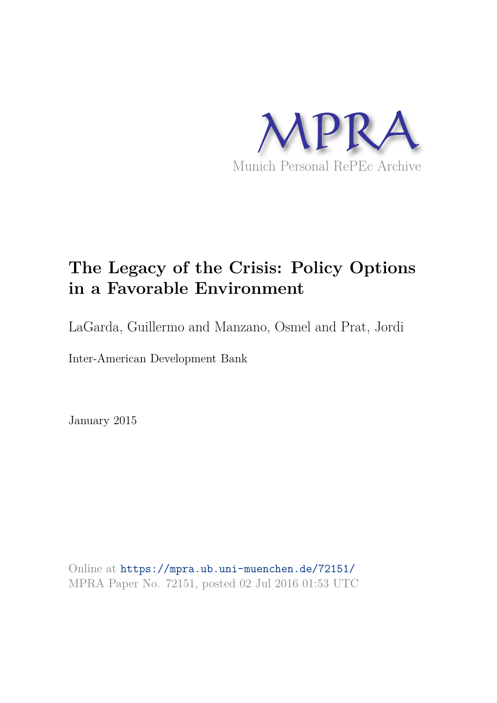

## **The Legacy of the Crisis: Policy Options in a Favorable Environment**

LaGarda, Guillermo and Manzano, Osmel and Prat, Jordi

Inter-American Development Bank

January 2015

Online at https://mpra.ub.uni-muenchen.de/72151/ MPRA Paper No. 72151, posted 02 Jul 2016 01:53 UTC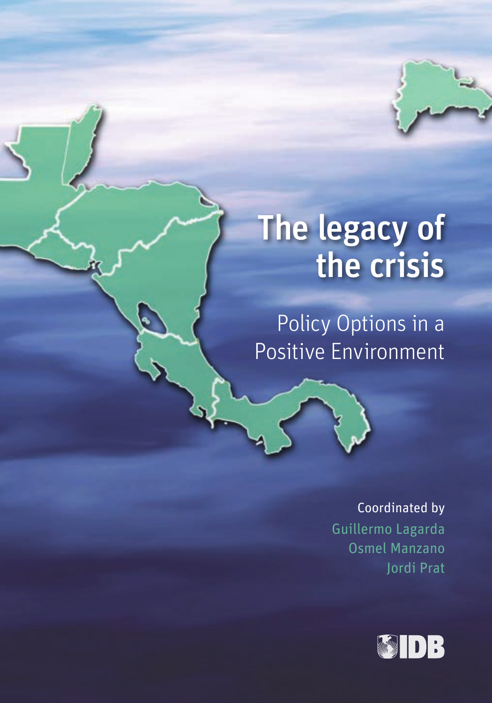## The legacy of the crisis

Policy Options in a Positive Environment

Coordinated by

Guillermo Lagarda Osmel Manzano Jordi Prat

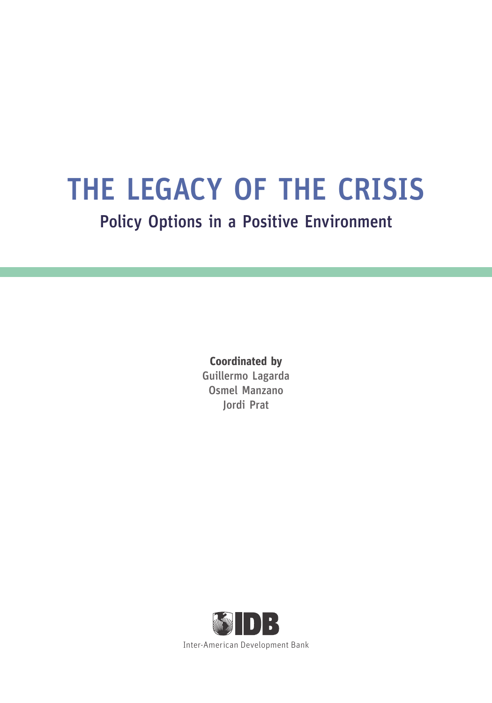## THE LEGACY OF THE CRISIS

Policy Options in a Positive Environment

**Coordinated by** Guillermo Lagarda Osmel Manzano Jordi Prat

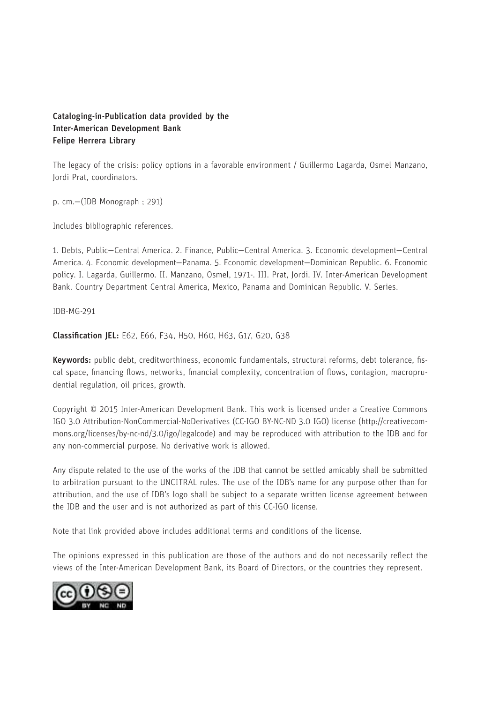#### Cataloging-in-Publication data provided by the Inter-American Development Bank Felipe Herrera Library

The legacy of the crisis: policy options in a favorable environment / Guillermo Lagarda, Osmel Manzano, Jordi Prat, coordinators.

p. cm.—(IDB Monograph ; 291)

Includes bibliographic references.

1. Debts, Public—Central America. 2. Finance, Public—Central America. 3. Economic development—Central America. 4. Economic development—Panama. 5. Economic development—Dominican Republic. 6. Economic policy. I. Lagarda, Guillermo. II. Manzano, Osmel, 1971-. III. Prat, Jordi. IV. Inter-American Development Bank. Country Department Central America, Mexico, Panama and Dominican Republic. V. Series.

IDB-MG-291

Classification JEL: E62, E66, F34, H50, H60, H63, G17, G20, G38

Keywords: public debt, creditworthiness, economic fundamentals, structural reforms, debt tolerance, fiscal space, financing flows, networks, financial complexity, concentration of flows, contagion, macroprudential regulation, oil prices, growth.

Copyright © 2015 Inter-American Development Bank. This work is licensed under a Creative Commons IGO 3.0 Attribution-NonCommercial-NoDerivatives (CC-IGO BY-NC-ND 3.0 IGO) license (http://creativecommons.org/licenses/by-nc-nd/3.0/igo/legalcode) and may be reproduced with attribution to the IDB and for any non-commercial purpose. No derivative work is allowed.

Any dispute related to the use of the works of the IDB that cannot be settled amicably shall be submitted to arbitration pursuant to the UNCITRAL rules. The use of the IDB's name for any purpose other than for attribution, and the use of IDB's logo shall be subject to a separate written license agreement between the IDB and the user and is not authorized as part of this CC-IGO license.

Note that link provided above includes additional terms and conditions of the license.

The opinions expressed in this publication are those of the authors and do not necessarily reflect the views of the Inter-American Development Bank, its Board of Directors, or the countries they represent.

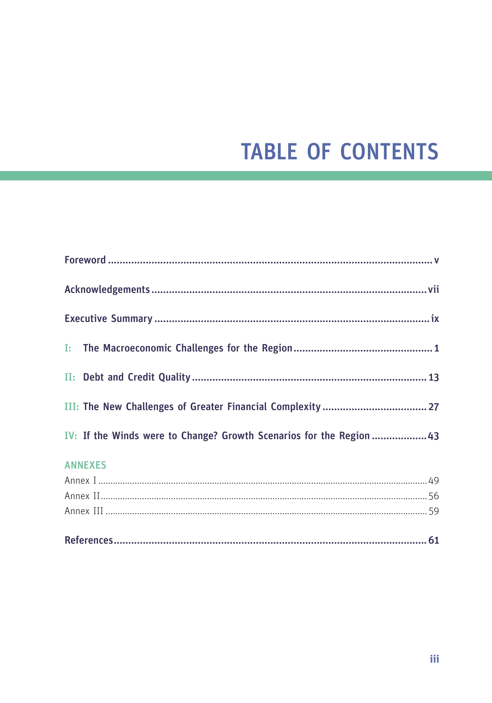## **TABLE OF CONTENTS**

| IV: If the Winds were to Change? Growth Scenarios for the Region  43 |
|----------------------------------------------------------------------|
| <b>ANNEXES</b>                                                       |
|                                                                      |
|                                                                      |
|                                                                      |
|                                                                      |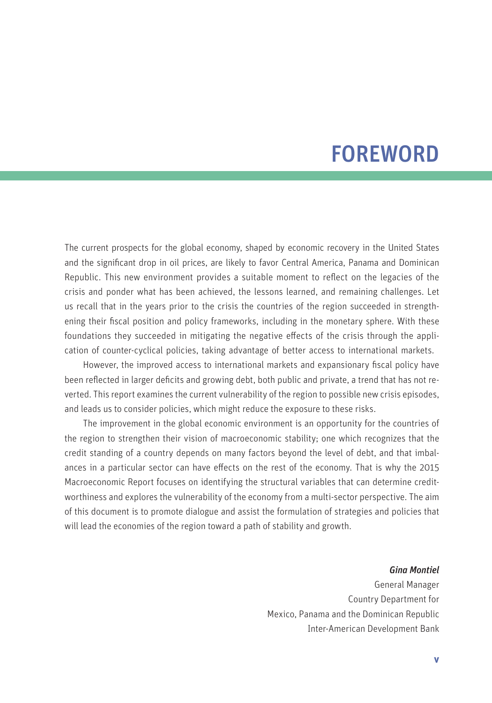## FOREWORD

The current prospects for the global economy, shaped by economic recovery in the United States and the significant drop in oil prices, are likely to favor Central America, Panama and Dominican Republic. This new environment provides a suitable moment to reflect on the legacies of the crisis and ponder what has been achieved, the lessons learned, and remaining challenges. Let us recall that in the years prior to the crisis the countries of the region succeeded in strengthening their fiscal position and policy frameworks, including in the monetary sphere. With these foundations they succeeded in mitigating the negative effects of the crisis through the application of counter-cyclical policies, taking advantage of better access to international markets.

However, the improved access to international markets and expansionary fiscal policy have been reflected in larger deficits and growing debt, both public and private, a trend that has not reverted. This report examines the current vulnerability of the region to possible new crisis episodes, and leads us to consider policies, which might reduce the exposure to these risks.

The improvement in the global economic environment is an opportunity for the countries of the region to strengthen their vision of macroeconomic stability; one which recognizes that the credit standing of a country depends on many factors beyond the level of debt, and that imbalances in a particular sector can have effects on the rest of the economy. That is why the 2015 Macroeconomic Report focuses on identifying the structural variables that can determine creditworthiness and explores the vulnerability of the economy from a multi-sector perspective. The aim of this document is to promote dialogue and assist the formulation of strategies and policies that will lead the economies of the region toward a path of stability and growth.

*Gina Montiel*

General Manager Country Department for Mexico, Panama and the Dominican Republic Inter-American Development Bank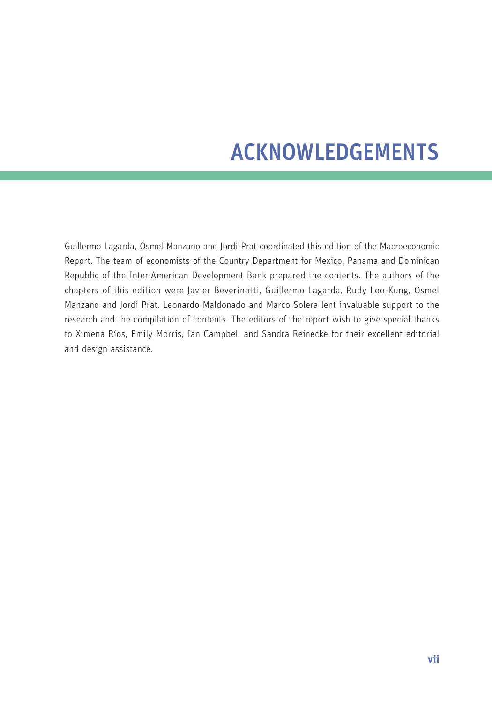## ACKNOWLEDGEMENTS

Guillermo Lagarda, Osmel Manzano and Jordi Prat coordinated this edition of the Macroeconomic Report. The team of economists of the Country Department for Mexico, Panama and Dominican Republic of the Inter-American Development Bank prepared the contents. The authors of the chapters of this edition were Javier Beverinotti, Guillermo Lagarda, Rudy Loo-Kung, Osmel Manzano and Jordi Prat. Leonardo Maldonado and Marco Solera lent invaluable support to the research and the compilation of contents. The editors of the report wish to give special thanks to Ximena Ríos, Emily Morris, Ian Campbell and Sandra Reinecke for their excellent editorial and design assistance.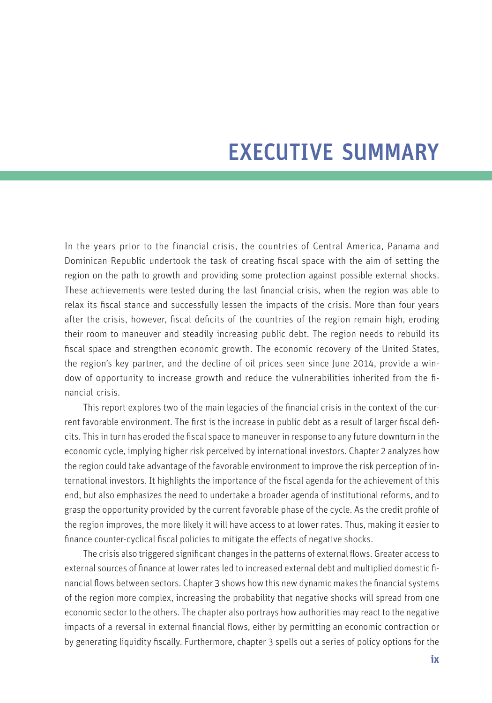## EXECUTIVE SUMMARY

In the years prior to the financial crisis, the countries of Central America, Panama and Dominican Republic undertook the task of creating fiscal space with the aim of setting the region on the path to growth and providing some protection against possible external shocks. These achievements were tested during the last financial crisis, when the region was able to relax its fiscal stance and successfully lessen the impacts of the crisis. More than four years after the crisis, however, fiscal deficits of the countries of the region remain high, eroding their room to maneuver and steadily increasing public debt. The region needs to rebuild its fiscal space and strengthen economic growth. The economic recovery of the United States, the region's key partner, and the decline of oil prices seen since June 2014, provide a window of opportunity to increase growth and reduce the vulnerabilities inherited from the financial crisis.

This report explores two of the main legacies of the financial crisis in the context of the current favorable environment. The first is the increase in public debt as a result of larger fiscal deficits. This in turn has eroded the fiscal space to maneuver in response to any future downturn in the economic cycle, implying higher risk perceived by international investors. Chapter 2 analyzes how the region could take advantage of the favorable environment to improve the risk perception of international investors. It highlights the importance of the fiscal agenda for the achievement of this end, but also emphasizes the need to undertake a broader agenda of institutional reforms, and to grasp the opportunity provided by the current favorable phase of the cycle. As the credit profile of the region improves, the more likely it will have access to at lower rates. Thus, making it easier to finance counter-cyclical fiscal policies to mitigate the effects of negative shocks.

The crisis also triggered significant changes in the patterns of external flows. Greater access to external sources of finance at lower rates led to increased external debt and multiplied domestic financial flows between sectors. Chapter 3 shows how this new dynamic makes the financial systems of the region more complex, increasing the probability that negative shocks will spread from one economic sector to the others. The chapter also portrays how authorities may react to the negative impacts of a reversal in external financial flows, either by permitting an economic contraction or by generating liquidity fiscally. Furthermore, chapter 3 spells out a series of policy options for the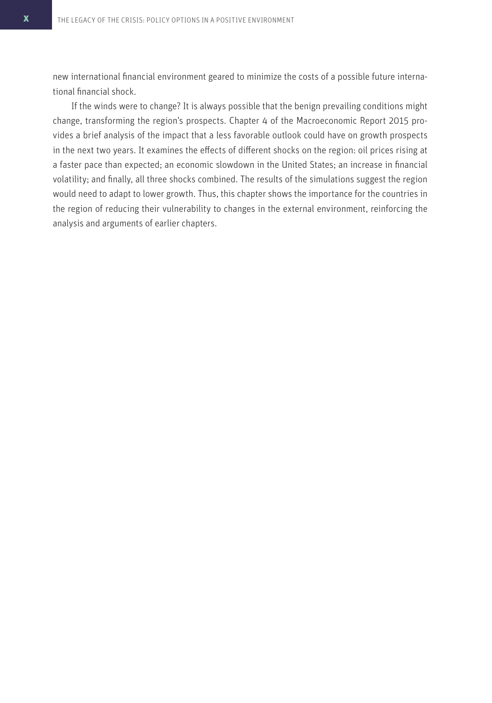new international financial environment geared to minimize the costs of a possible future international financial shock.

If the winds were to change? It is always possible that the benign prevailing conditions might change, transforming the region's prospects. Chapter 4 of the Macroeconomic Report 2015 provides a brief analysis of the impact that a less favorable outlook could have on growth prospects in the next two years. It examines the effects of different shocks on the region: oil prices rising at a faster pace than expected; an economic slowdown in the United States; an increase in financial volatility; and finally, all three shocks combined. The results of the simulations suggest the region would need to adapt to lower growth. Thus, this chapter shows the importance for the countries in the region of reducing their vulnerability to changes in the external environment, reinforcing the analysis and arguments of earlier chapters.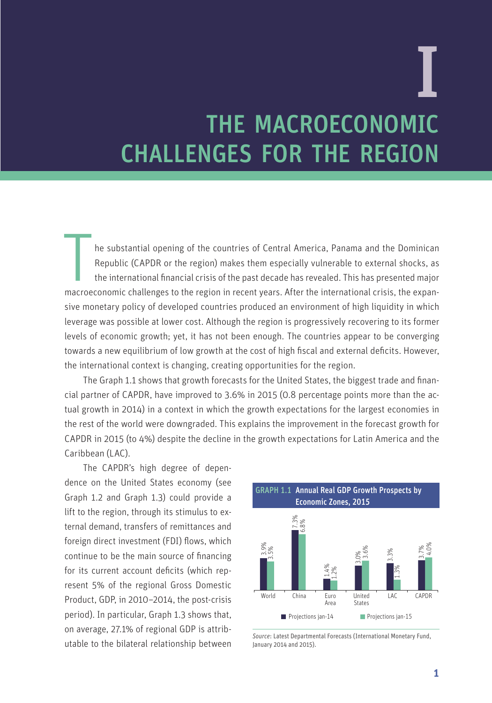# THE MACROECONOMIC CHALLENGES FOR THE REGION I

The substantial opening of the countries of Central America, Panama and the Dominican<br>Republic (CAPDR or the region) makes them especially vulnerable to external shocks, as<br>the international financial crisis of the past de he substantial opening of the countries of Central America, Panama and the Dominican Republic (CAPDR or the region) makes them especially vulnerable to external shocks, as the international financial crisis of the past decade has revealed. This has presented major sive monetary policy of developed countries produced an environment of high liquidity in which leverage was possible at lower cost. Although the region is progressively recovering to its former levels of economic growth; yet, it has not been enough. The countries appear to be converging towards a new equilibrium of low growth at the cost of high fiscal and external deficits. However, the international context is changing, creating opportunities for the region.

The Graph 1.1 shows that growth forecasts for the United States, the biggest trade and financial partner of CAPDR, have improved to 3.6% in 2015 (0.8 percentage points more than the actual growth in 2014) in a context in which the growth expectations for the largest economies in the rest of the world were downgraded. This explains the improvement in the forecast growth for CAPDR in 2015 (to 4%) despite the decline in the growth expectations for Latin America and the Caribbean (LAC).

The CAPDR's high degree of dependence on the United States economy (see Graph 1.2 and Graph 1.3) could provide a lift to the region, through its stimulus to external demand, transfers of remittances and foreign direct investment (FDI) flows, which continue to be the main source of financing for its current account deficits (which represent 5% of the regional Gross Domestic Product, GDP, in 2010–2014, the post-crisis period). In particular, Graph 1.3 shows that, on average, 27.1% of regional GDP is attributable to the bilateral relationship between



*Source*: Latest Departmental Forecasts (International Monetary Fund, January 2014 and 2015).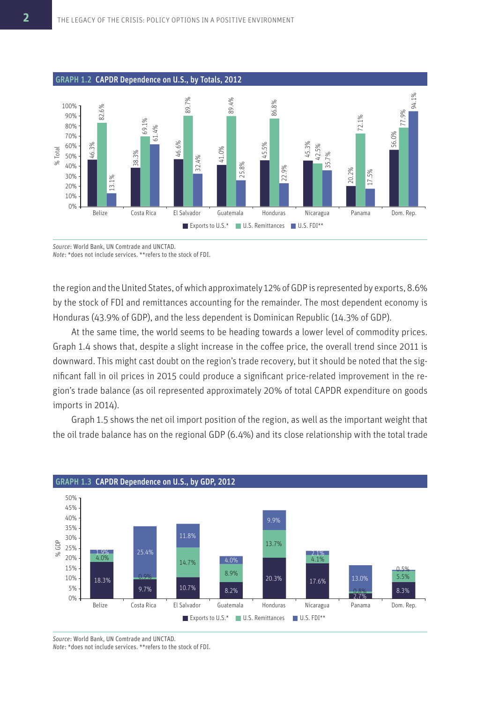

*Source*: World Bank, UN Comtrade and UNCTAD.

*Note*: \*does not include services. \*\*refers to the stock of FDI.

the region and the United States, of which approximately 12% of GDP is represented by exports, 8.6% by the stock of FDI and remittances accounting for the remainder. The most dependent economy is Honduras (43.9% of GDP), and the less dependent is Dominican Republic (14.3% of GDP).

At the same time, the world seems to be heading towards a lower level of commodity prices. Graph 1.4 shows that, despite a slight increase in the coffee price, the overall trend since 2011 is downward. This might cast doubt on the region's trade recovery, but it should be noted that the significant fall in oil prices in 2015 could produce a significant price-related improvement in the region's trade balance (as oil represented approximately 20% of total CAPDR expenditure on goods imports in 2014).

Graph 1.5 shows the net oil import position of the region, as well as the important weight that the oil trade balance has on the regional GDP (6.4%) and its close relationship with the total trade



*Source*: World Bank, UN Comtrade and UNCTAD.

*Note*: \*does not include services. \*\*refers to the stock of FDI.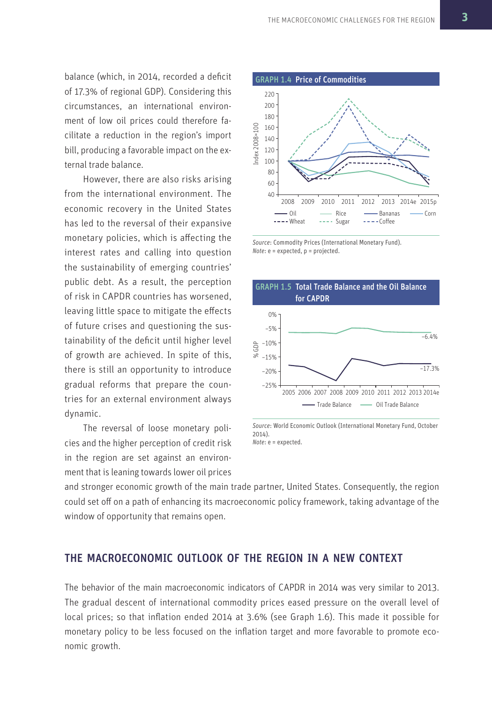balance (which, in 2014, recorded a deficit of 17.3% of regional GDP). Considering this circumstances, an international environment of low oil prices could therefore facilitate a reduction in the region's import bill, producing a favorable impact on the external trade balance.

However, there are also risks arising from the international environment. The economic recovery in the United States has led to the reversal of their expansive monetary policies, which is affecting the interest rates and calling into question the sustainability of emerging countries' public debt. As a result, the perception of risk in CAPDR countries has worsened, leaving little space to mitigate the effects of future crises and questioning the sustainability of the deficit until higher level of growth are achieved. In spite of this, there is still an opportunity to introduce gradual reforms that prepare the countries for an external environment always dynamic.

The reversal of loose monetary policies and the higher perception of credit risk in the region are set against an environment that is leaning towards lower oil prices



*Source*: Commodity Prices (International Monetary Fund). *Note*: e = expected, p = projected.



*Source*: World Economic Outlook (International Monetary Fund, October 2014). *Note*: e = expected.

and stronger economic growth of the main trade partner, United States. Consequently, the region could set off on a path of enhancing its macroeconomic policy framework, taking advantage of the window of opportunity that remains open.

#### THE MACROECONOMIC OUTLOOK OF THE REGION IN A NEW CONTEXT

The behavior of the main macroeconomic indicators of CAPDR in 2014 was very similar to 2013. The gradual descent of international commodity prices eased pressure on the overall level of local prices; so that inflation ended 2014 at 3.6% (see Graph 1.6). This made it possible for monetary policy to be less focused on the inflation target and more favorable to promote economic growth.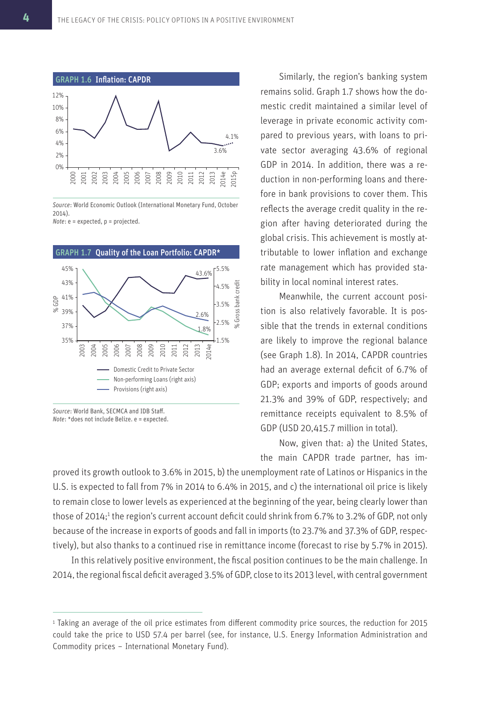

*Source*: World Economic Outlook (International Monetary Fund, October 2014).

*Note*: e = expected, p = projected.



*Source*: World Bank, SECMCA and IDB Staff. *Note*: \*does not include Belize. e = expected.

Similarly, the region's banking system remains solid. Graph 1.7 shows how the domestic credit maintained a similar level of leverage in private economic activity compared to previous years, with loans to private sector averaging 43.6% of regional GDP in 2014. In addition, there was a reduction in non-performing loans and therefore in bank provisions to cover them. This reflects the average credit quality in the region after having deteriorated during the global crisis. This achievement is mostly attributable to lower inflation and exchange rate management which has provided stability in local nominal interest rates.

Meanwhile, the current account position is also relatively favorable. It is possible that the trends in external conditions are likely to improve the regional balance (see Graph 1.8). In 2014, CAPDR countries had an average external deficit of 6.7% of GDP; exports and imports of goods around 21.3% and 39% of GDP, respectively; and remittance receipts equivalent to 8.5% of GDP (USD 20,415.7 million in total).

Now, given that: a) the United States, the main CAPDR trade partner, has im-

proved its growth outlook to 3.6% in 2015, b) the unemployment rate of Latinos or Hispanics in the U.S. is expected to fall from 7% in 2014 to 6.4% in 2015, and c) the international oil price is likely to remain close to lower levels as experienced at the beginning of the year, being clearly lower than those of 2014;<sup>1</sup> the region's current account deficit could shrink from 6.7% to 3.2% of GDP, not only because of the increase in exports of goods and fall in imports (to 23.7% and 37.3% of GDP, respectively), but also thanks to a continued rise in remittance income (forecast to rise by 5.7% in 2015).

In this relatively positive environment, the fiscal position continues to be the main challenge. In 2014, the regional fiscal deficit averaged 3.5% of GDP, close to its 2013 level, with central government

<sup>1</sup>Taking an average of the oil price estimates from different commodity price sources, the reduction for 2015 could take the price to USD 57.4 per barrel (see, for instance, U.S. Energy Information Administration and Commodity prices – International Monetary Fund).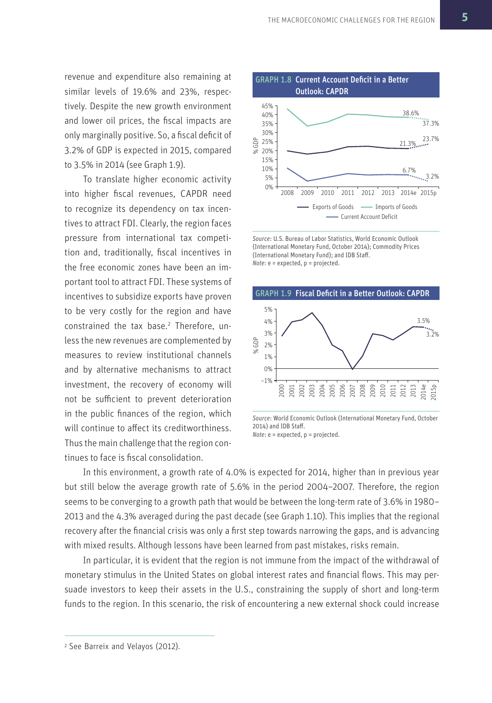revenue and expenditure also remaining at similar levels of 19.6% and 23%, respectively. Despite the new growth environment and lower oil prices, the fiscal impacts are only marginally positive. So, a fiscal deficit of 3.2% of GDP is expected in 2015, compared to 3.5% in 2014 (see Graph 1.9).

To translate higher economic activity into higher fiscal revenues, CAPDR need to recognize its dependency on tax incentives to attract FDI. Clearly, the region faces pressure from international tax competition and, traditionally, fiscal incentives in the free economic zones have been an important tool to attract FDI. These systems of incentives to subsidize exports have proven to be very costly for the region and have constrained the tax base.<sup>2</sup> Therefore, unless the new revenues are complemented by measures to review institutional channels and by alternative mechanisms to attract investment, the recovery of economy will not be sufficient to prevent deterioration in the public finances of the region, which will continue to affect its creditworthiness. Thus the main challenge that the region continues to face is fiscal consolidation.



*Source*: U.S. Bureau of Labor Statistics, World Economic Outlook (International Monetary Fund, October 2014); Commodity Prices (International Monetary Fund); and IDB Staff. *Note*: e = expected, p = projected.



*Source*: World Economic Outlook (International Monetary Fund, October 2014) and IDB Staff.

*Note*: e = expected, p = projected.

In this environment, a growth rate of 4.0% is expected for 2014, higher than in previous year but still below the average growth rate of 5.6% in the period 2004–2007. Therefore, the region seems to be converging to a growth path that would be between the long-term rate of 3.6% in 1980– 2013 and the 4.3% averaged during the past decade (see Graph 1.10). This implies that the regional recovery after the financial crisis was only a first step towards narrowing the gaps, and is advancing with mixed results. Although lessons have been learned from past mistakes, risks remain.

In particular, it is evident that the region is not immune from the impact of the withdrawal of monetary stimulus in the United States on global interest rates and financial flows. This may persuade investors to keep their assets in the U.S., constraining the supply of short and long-term funds to the region. In this scenario, the risk of encountering a new external shock could increase

<sup>2</sup> See Barreix and Velayos (2012).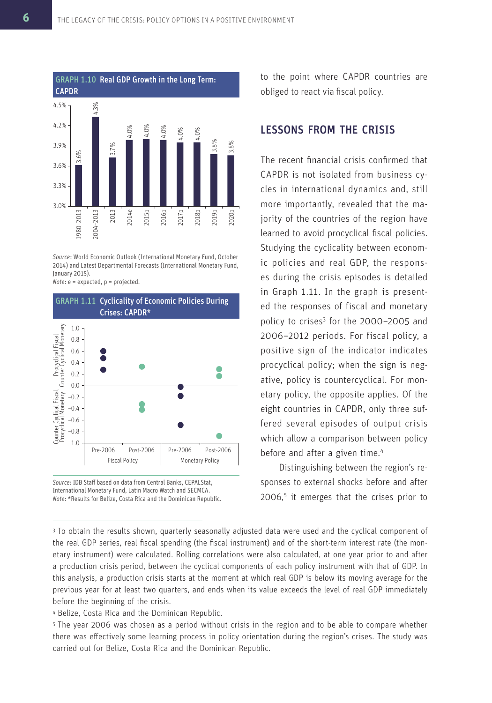

*Source*: World Economic Outlook (International Monetary Fund, October 2014) and Latest Departmental Forecasts (International Monetary Fund, January 2015).

*Note*: e = expected, p = projected.





to the point where CAPDR countries are obliged to react via fiscal policy.

#### LESSONS FROM THE CRISIS

The recent financial crisis confirmed that CAPDR is not isolated from business cycles in international dynamics and, still more importantly, revealed that the majority of the countries of the region have learned to avoid procyclical fiscal policies. Studying the cyclicality between economic policies and real GDP, the responses during the crisis episodes is detailed in Graph 1.11. In the graph is presented the responses of fiscal and monetary policy to crises<sup>3</sup> for the 2000-2005 and 2006–2012 periods. For fiscal policy, a positive sign of the indicator indicates procyclical policy; when the sign is negative, policy is countercyclical. For monetary policy, the opposite applies. Of the eight countries in CAPDR, only three suffered several episodes of output crisis which allow a comparison between policy before and after a given time.<sup>4</sup>

Distinguishing between the region's responses to external shocks before and after 2006,<sup>5</sup> it emerges that the crises prior to

<sup>4</sup>Belize, Costa Rica and the Dominican Republic.

<sup>5</sup>The year 2006 was chosen as a period without crisis in the region and to be able to compare whether there was effectively some learning process in policy orientation during the region's crises. The study was carried out for Belize, Costa Rica and the Dominican Republic.

<sup>&</sup>lt;sup>3</sup> To obtain the results shown, quarterly seasonally adjusted data were used and the cyclical component of the real GDP series, real fiscal spending (the fiscal instrument) and of the short-term interest rate (the monetary instrument) were calculated. Rolling correlations were also calculated, at one year prior to and after a production crisis period, between the cyclical components of each policy instrument with that of GDP. In this analysis, a production crisis starts at the moment at which real GDP is below its moving average for the previous year for at least two quarters, and ends when its value exceeds the level of real GDP immediately before the beginning of the crisis.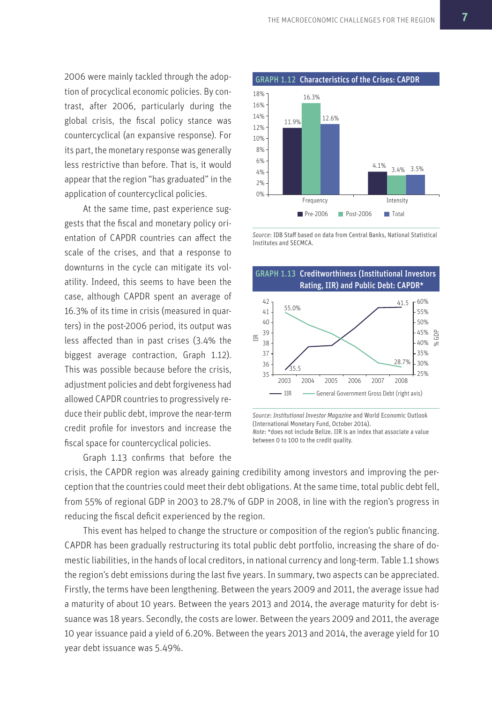2006 were mainly tackled through the adoption of procyclical economic policies. By contrast, after 2006, particularly during the global crisis, the fiscal policy stance was countercyclical (an expansive response). For its part, the monetary response was generally less restrictive than before. That is, it would appear that the region "has graduated" in the application of countercyclical policies.

At the same time, past experience suggests that the fiscal and monetary policy orientation of CAPDR countries can affect the scale of the crises, and that a response to downturns in the cycle can mitigate its volatility. Indeed, this seems to have been the case, although CAPDR spent an average of 16.3% of its time in crisis (measured in quarters) in the post-2006 period, its output was less affected than in past crises (3.4% the biggest average contraction, Graph 1.12). This was possible because before the crisis, adjustment policies and debt forgiveness had allowed CAPDR countries to progressively reduce their public debt, improve the near-term credit profile for investors and increase the fiscal space for countercyclical policies.

GRAPH 1.12 Characteristics of the Crises: CAPDR 0% Pre-2006 Post-2006 Total 2% 4% 6% 8% 10% 12% 14% 16% 18% Frequency Intensity 11.9% 4.1% 16.3% 3.4% 3.5% 12.6%

*Source*: IDB Staff based on data from Central Banks, National Statistical Institutes and SECMCA.



*Source*: *Institutional Investor Magazine* and World Economic Outlook (International Monetary Fund, October 2014). *Note*: \*does not include Belize. IIR is an index that associate a value between 0 to 100 to the credit quality.

Graph 1.13 confirms that before the crisis, the CAPDR region was already gaining credibility among investors and improving the perception that the countries could meet their debt obligations. At the same time, total public debt fell, from 55% of regional GDP in 2003 to 28.7% of GDP in 2008, in line with the region's progress in reducing the fiscal deficit experienced by the region.

This event has helped to change the structure or composition of the region's public financing. CAPDR has been gradually restructuring its total public debt portfolio, increasing the share of domestic liabilities, in the hands of local creditors, in national currency and long-term. Table 1.1 shows the region's debt emissions during the last five years. In summary, two aspects can be appreciated. Firstly, the terms have been lengthening. Between the years 2009 and 2011, the average issue had a maturity of about 10 years. Between the years 2013 and 2014, the average maturity for debt issuance was 18 years. Secondly, the costs are lower. Between the years 2009 and 2011, the average 10 year issuance paid a yield of 6.20%. Between the years 2013 and 2014, the average yield for 10 year debt issuance was 5.49%.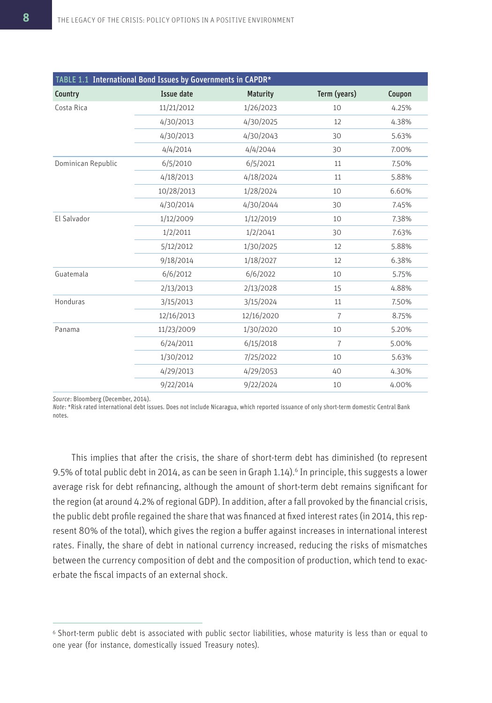| TABLE 1.1 International Bond Issues by Governments in CAPDR* |                   |                 |              |        |  |  |  |  |
|--------------------------------------------------------------|-------------------|-----------------|--------------|--------|--|--|--|--|
| Country                                                      | <b>Issue date</b> | <b>Maturity</b> | Term (years) | Coupon |  |  |  |  |
| Costa Rica                                                   | 11/21/2012        | 1/26/2023       | 10           | 4.25%  |  |  |  |  |
|                                                              | 4/30/2013         | 4/30/2025       | 12           | 4.38%  |  |  |  |  |
|                                                              | 4/30/2013         | 4/30/2043       | 30           | 5.63%  |  |  |  |  |
|                                                              | 4/4/2014          | 4/4/2044        | 30           | 7.00%  |  |  |  |  |
| Dominican Republic                                           | 6/5/2010          | 6/5/2021        | 11           | 7.50%  |  |  |  |  |
|                                                              | 4/18/2013         | 4/18/2024       | 11           | 5.88%  |  |  |  |  |
|                                                              | 10/28/2013        | 1/28/2024       | 10           | 6.60%  |  |  |  |  |
|                                                              | 4/30/2014         | 4/30/2044       | 30           | 7.45%  |  |  |  |  |
| El Salvador                                                  | 1/12/2009         | 1/12/2019       | 10           | 7.38%  |  |  |  |  |
|                                                              | 1/2/2011          | 1/2/2041        | 30           | 7.63%  |  |  |  |  |
|                                                              | 5/12/2012         | 1/30/2025       | 12           | 5.88%  |  |  |  |  |
|                                                              | 9/18/2014         | 1/18/2027       | 12           | 6.38%  |  |  |  |  |
| Guatemala                                                    | 6/6/2012          | 6/6/2022        | 10           | 5.75%  |  |  |  |  |
|                                                              | 2/13/2013         | 2/13/2028       | 15           | 4.88%  |  |  |  |  |
| Honduras                                                     | 3/15/2013         | 3/15/2024       | 11           | 7.50%  |  |  |  |  |
|                                                              | 12/16/2013        | 12/16/2020      | 7            | 8.75%  |  |  |  |  |
| Panama                                                       | 11/23/2009        | 1/30/2020       | 10           | 5.20%  |  |  |  |  |
|                                                              | 6/24/2011         | 6/15/2018       | 7            | 5.00%  |  |  |  |  |
|                                                              | 1/30/2012         | 7/25/2022       | 10           | 5.63%  |  |  |  |  |
|                                                              | 4/29/2013         | 4/29/2053       | 40           | 4.30%  |  |  |  |  |
|                                                              | 9/22/2014         | 9/22/2024       | 10           | 4.00%  |  |  |  |  |

*Source*: Bloomberg (December, 2014).

*Note*: \*Risk rated international debt issues. Does not include Nicaragua, which reported issuance of only short-term domestic Central Bank notes.

This implies that after the crisis, the share of short-term debt has diminished (to represent 9.5% of total public debt in 2014, as can be seen in Graph 1.14).<sup>6</sup> In principle, this suggests a lower average risk for debt refinancing, although the amount of short-term debt remains significant for the region (at around 4.2% of regional GDP). In addition, after a fall provoked by the financial crisis, the public debt profile regained the share that was financed at fixed interest rates (in 2014, this represent 80% of the total), which gives the region a buffer against increases in international interest rates. Finally, the share of debt in national currency increased, reducing the risks of mismatches between the currency composition of debt and the composition of production, which tend to exacerbate the fiscal impacts of an external shock.

<sup>6</sup>Short-term public debt is associated with public sector liabilities, whose maturity is less than or equal to one year (for instance, domestically issued Treasury notes).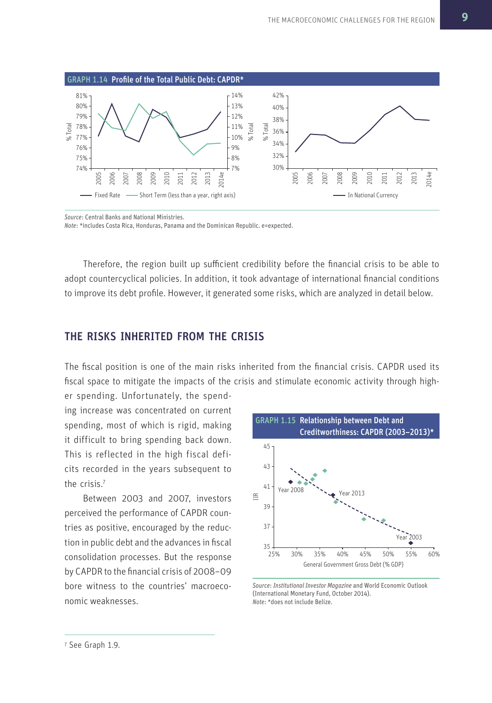

*Source*: Central Banks and National Ministries.

*Note*: \*includes Costa Rica, Honduras, Panama and the Dominican Republic. e=expected.

Therefore, the region built up sufficient credibility before the financial crisis to be able to adopt countercyclical policies. In addition, it took advantage of international financial conditions to improve its debt profile. However, it generated some risks, which are analyzed in detail below.

#### THE RISKS INHERITED FROM THE CRISIS

The fiscal position is one of the main risks inherited from the financial crisis. CAPDR used its fiscal space to mitigate the impacts of the crisis and stimulate economic activity through high-

er spending. Unfortunately, the spending increase was concentrated on current spending, most of which is rigid, making it difficult to bring spending back down. This is reflected in the high fiscal deficits recorded in the years subsequent to the crisis.<sup>7</sup>

Between 2003 and 2007, investors perceived the performance of CAPDR countries as positive, encouraged by the reduction in public debt and the advances in fiscal consolidation processes. But the response by CAPDR to the financial crisis of 2008–09 bore witness to the countries' macroeconomic weaknesses.



*Source*: *Institutional Investor Magazine* and World Economic Outlook (International Monetary Fund, October 2014). *Note*: \*does not include Belize.

<sup>7</sup> See Graph 1.9.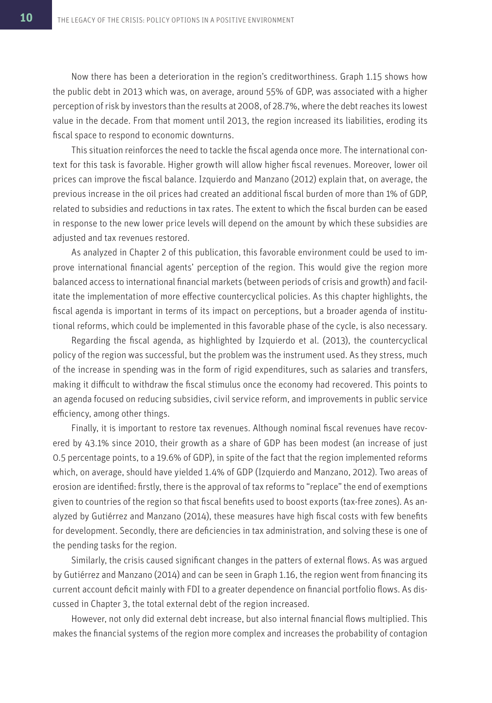Now there has been a deterioration in the region's creditworthiness. Graph 1.15 shows how the public debt in 2013 which was, on average, around 55% of GDP, was associated with a higher perception of risk by investors than the results at 2008, of 28.7%, where the debt reaches its lowest value in the decade. From that moment until 2013, the region increased its liabilities, eroding its fiscal space to respond to economic downturns.

This situation reinforces the need to tackle the fiscal agenda once more. The international context for this task is favorable. Higher growth will allow higher fiscal revenues. Moreover, lower oil prices can improve the fiscal balance. Izquierdo and Manzano (2012) explain that, on average, the previous increase in the oil prices had created an additional fiscal burden of more than 1% of GDP, related to subsidies and reductions in tax rates. The extent to which the fiscal burden can be eased in response to the new lower price levels will depend on the amount by which these subsidies are adjusted and tax revenues restored.

As analyzed in Chapter 2 of this publication, this favorable environment could be used to improve international financial agents' perception of the region. This would give the region more balanced access to international financial markets (between periods of crisis and growth) and facilitate the implementation of more effective countercyclical policies. As this chapter highlights, the fiscal agenda is important in terms of its impact on perceptions, but a broader agenda of institutional reforms, which could be implemented in this favorable phase of the cycle, is also necessary.

Regarding the fiscal agenda, as highlighted by Izquierdo et al. (2013), the countercyclical policy of the region was successful, but the problem was the instrument used. As they stress, much of the increase in spending was in the form of rigid expenditures, such as salaries and transfers, making it difficult to withdraw the fiscal stimulus once the economy had recovered. This points to an agenda focused on reducing subsidies, civil service reform, and improvements in public service efficiency, among other things.

Finally, it is important to restore tax revenues. Although nominal fiscal revenues have recovered by 43.1% since 2010, their growth as a share of GDP has been modest (an increase of just 0.5 percentage points, to a 19.6% of GDP), in spite of the fact that the region implemented reforms which, on average, should have yielded 1.4% of GDP (Izquierdo and Manzano, 2012). Two areas of erosion are identified: firstly, there is the approval of tax reforms to "replace" the end of exemptions given to countries of the region so that fiscal benefits used to boost exports (tax-free zones). As analyzed by Gutiérrez and Manzano (2014), these measures have high fiscal costs with few benefits for development. Secondly, there are deficiencies in tax administration, and solving these is one of the pending tasks for the region.

Similarly, the crisis caused significant changes in the patters of external flows. As was argued by Gutiérrez and Manzano (2014) and can be seen in Graph 1.16, the region went from financing its current account deficit mainly with FDI to a greater dependence on financial portfolio flows. As discussed in Chapter 3, the total external debt of the region increased.

However, not only did external debt increase, but also internal financial flows multiplied. This makes the financial systems of the region more complex and increases the probability of contagion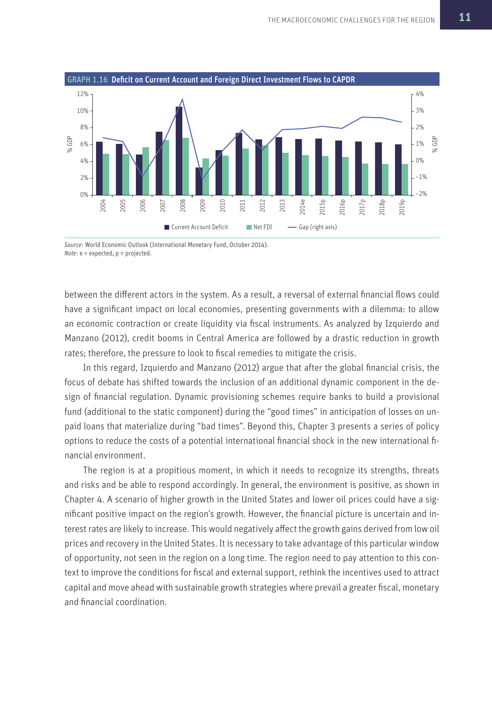

*Source*: World Economic Outlook (International Monetary Fund, October 2014). *Note*: e = expected, p = projected.

between the different actors in the system. As a result, a reversal of external financial flows could have a significant impact on local economies, presenting governments with a dilemma: to allow an economic contraction or create liquidity via fiscal instruments. As analyzed by Izquierdo and Manzano (2012), credit booms in Central America are followed by a drastic reduction in growth rates; therefore, the pressure to look to fiscal remedies to mitigate the crisis.

In this regard, Izquierdo and Manzano (2012) argue that after the global financial crisis, the focus of debate has shifted towards the inclusion of an additional dynamic component in the design of financial regulation. Dynamic provisioning schemes require banks to build a provisional fund (additional to the static component) during the "good times" in anticipation of losses on unpaid loans that materialize during "bad times". Beyond this, Chapter 3 presents a series of policy options to reduce the costs of a potential international financial shock in the new international financial environment.

The region is at a propitious moment, in which it needs to recognize its strengths, threats and risks and be able to respond accordingly. In general, the environment is positive, as shown in Chapter 4. A scenario of higher growth in the United States and lower oil prices could have a significant positive impact on the region's growth. However, the financial picture is uncertain and interest rates are likely to increase. This would negatively affect the growth gains derived from low oil prices and recovery in the United States. It is necessary to take advantage of this particular window of opportunity, not seen in the region on a long time. The region need to pay attention to this context to improve the conditions for fiscal and external support, rethink the incentives used to attract capital and move ahead with sustainable growth strategies where prevail a greater fiscal, monetary and financial coordination.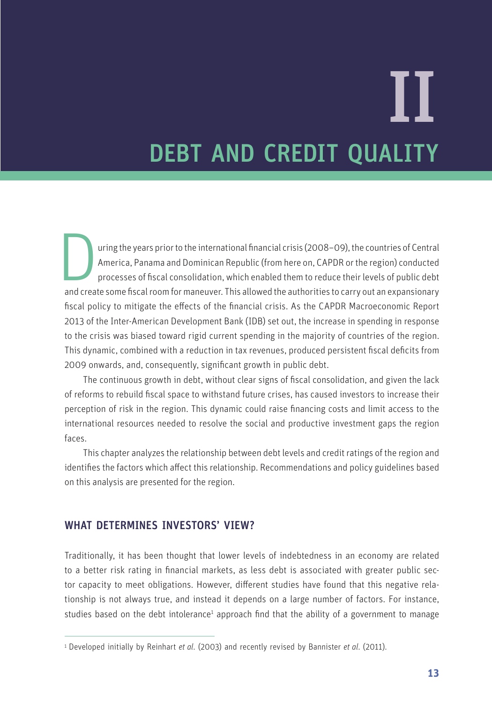# DEBT AND CREDIT QUALITY II

and create some fiscal consolidation, which enabled them to reduce their levels of public debt<br>and create some fiscal room for maneuver. This allowed the authorities to carry out an expansionary<br>dependence to carry out an uring the years prior to the international financial crisis (2008–09), the countries of Central America, Panama and Dominican Republic (from here on, CAPDR or the region) conducted processes of fiscal consolidation, which enabled them to reduce their levels of public debt fiscal policy to mitigate the effects of the financial crisis. As the CAPDR Macroeconomic Report 2013 of the Inter-American Development Bank (IDB) set out, the increase in spending in response to the crisis was biased toward rigid current spending in the majority of countries of the region. This dynamic, combined with a reduction in tax revenues, produced persistent fiscal deficits from 2009 onwards, and, consequently, significant growth in public debt.

The continuous growth in debt, without clear signs of fiscal consolidation, and given the lack of reforms to rebuild fiscal space to withstand future crises, has caused investors to increase their perception of risk in the region. This dynamic could raise financing costs and limit access to the international resources needed to resolve the social and productive investment gaps the region faces.

This chapter analyzes the relationship between debt levels and credit ratings of the region and identifies the factors which affect this relationship. Recommendations and policy guidelines based on this analysis are presented for the region.

#### WHAT DETERMINES INVESTORS' VIEW?

Traditionally, it has been thought that lower levels of indebtedness in an economy are related to a better risk rating in financial markets, as less debt is associated with greater public sector capacity to meet obligations. However, different studies have found that this negative relationship is not always true, and instead it depends on a large number of factors. For instance, studies based on the debt intolerance<sup>1</sup> approach find that the ability of a government to manage

<sup>1</sup> Developed initially by Reinhart *et al*. (2003) and recently revised by Bannister *et al*. (2011).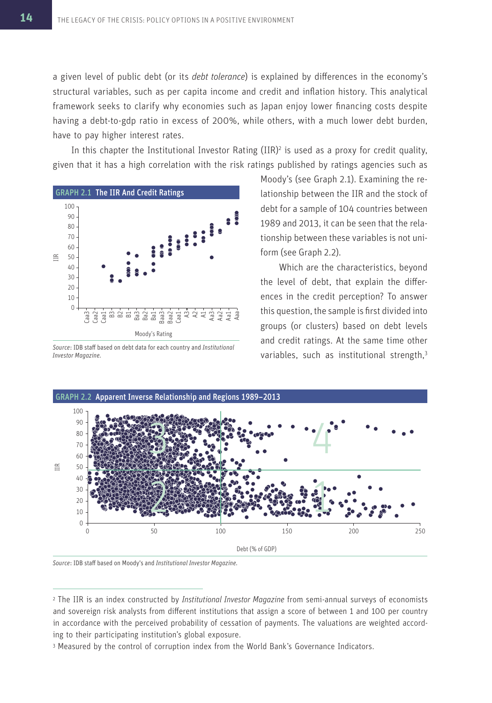a given level of public debt (or its *debt tolerance*) is explained by differences in the economy's structural variables, such as per capita income and credit and inflation history. This analytical framework seeks to clarify why economies such as Japan enjoy lower financing costs despite having a debt-to-gdp ratio in excess of 200%, while others, with a much lower debt burden, have to pay higher interest rates.

In this chapter the Institutional Investor Rating  $(IIR)^2$  is used as a proxy for credit quality, given that it has a high correlation with the risk ratings published by ratings agencies such as



*Source*: IDB staff based on debt data for each country and *Institutional Investor Magazine.*

Moody's (see Graph 2.1). Examining the relationship between the IIR and the stock of debt for a sample of 104 countries between 1989 and 2013, it can be seen that the relationship between these variables is not uniform (see Graph 2.2).

Which are the characteristics, beyond the level of debt, that explain the differences in the credit perception? To answer this question, the sample is first divided into groups (or clusters) based on debt levels and credit ratings. At the same time other variables, such as institutional strength,<sup>3</sup>



*Source*: IDB staff based on Moody's and *Institutional Investor Magazine.*

3 Measured by the control of corruption index from the World Bank's Governance Indicators.

<sup>2</sup>The IIR is an index constructed by *Institutional Investor Magazine* from semi-annual surveys of economists and sovereign risk analysts from different institutions that assign a score of between 1 and 100 per country in accordance with the perceived probability of cessation of payments. The valuations are weighted according to their participating institution's global exposure.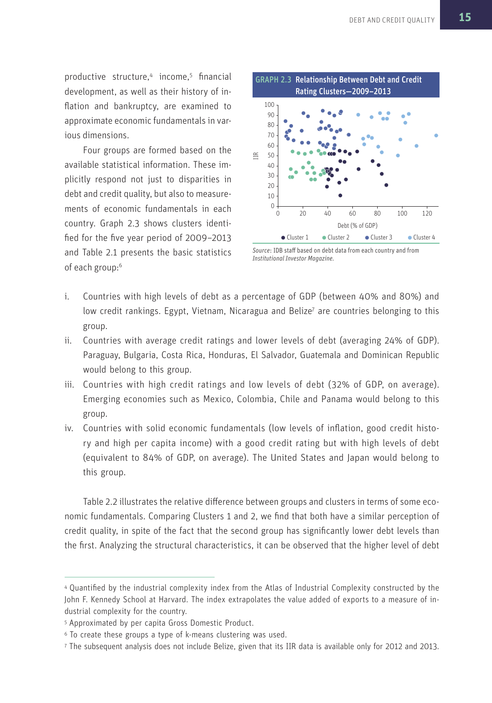productive structure,<sup>4</sup> income,<sup>5</sup> financial development, as well as their history of inflation and bankruptcy, are examined to approximate economic fundamentals in various dimensions.

Four groups are formed based on the available statistical information. These implicitly respond not just to disparities in debt and credit quality, but also to measurements of economic fundamentals in each country. Graph 2.3 shows clusters identified for the five year period of 2009–2013 and Table 2.1 presents the basic statistics of each group:<sup>6</sup>



*Source*: IDB staff based on debt data from each country and from *Institutional Investor Magazine.*

- i. Countries with high levels of debt as a percentage of GDP (between 40% and 80%) and low credit rankings. Egypt, Vietnam, Nicaragua and Belize<sup>7</sup> are countries belonging to this group.
- ii. Countries with average credit ratings and lower levels of debt (averaging 24% of GDP). Paraguay, Bulgaria, Costa Rica, Honduras, El Salvador, Guatemala and Dominican Republic would belong to this group.
- iii. Countries with high credit ratings and low levels of debt (32% of GDP, on average). Emerging economies such as Mexico, Colombia, Chile and Panama would belong to this group.
- iv. Countries with solid economic fundamentals (low levels of inflation, good credit history and high per capita income) with a good credit rating but with high levels of debt (equivalent to 84% of GDP, on average). The United States and Japan would belong to this group.

Table 2.2 illustrates the relative difference between groups and clusters in terms of some economic fundamentals. Comparing Clusters 1 and 2, we find that both have a similar perception of credit quality, in spite of the fact that the second group has significantly lower debt levels than the first. Analyzing the structural characteristics, it can be observed that the higher level of debt

<sup>4</sup>Quantified by the industrial complexity index from the Atlas of Industrial Complexity constructed by the John F. Kennedy School at Harvard. The index extrapolates the value added of exports to a measure of industrial complexity for the country.

<sup>5</sup>Approximated by per capita Gross Domestic Product.

<sup>6</sup>To create these groups a type of k-means clustering was used.

<sup>7</sup> The subsequent analysis does not include Belize, given that its IIR data is available only for 2012 and 2013.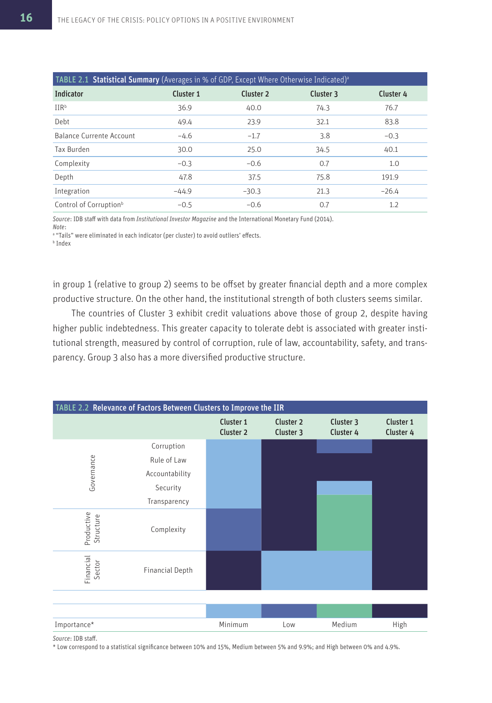| <b>TABLE 2.1 Statistical Summary</b> (Averages in % of GDP, Except Where Otherwise Indicated) <sup>a</sup> |           |                      |           |           |  |  |  |
|------------------------------------------------------------------------------------------------------------|-----------|----------------------|-----------|-----------|--|--|--|
| <b>Indicator</b>                                                                                           | Cluster 1 | Cluster <sub>2</sub> | Cluster 3 | Cluster 4 |  |  |  |
| IIR <sup>b</sup>                                                                                           | 36.9      | 40.0                 | 74.3      | 76.7      |  |  |  |
| Debt                                                                                                       | 49.4      | 23.9                 | 32.1      | 83.8      |  |  |  |
| Balance Currente Account                                                                                   | $-4.6$    | $-1.7$               | 3.8       | $-0.3$    |  |  |  |
| Tax Burden                                                                                                 | 30.0      | 25.0                 | 34.5      | 40.1      |  |  |  |
| Complexity                                                                                                 | $-0.3$    | $-0.6$               | 0.7       | 1.0       |  |  |  |
| Depth                                                                                                      | 47.8      | 37.5                 | 75.8      | 191.9     |  |  |  |
| Integration                                                                                                | $-44.9$   | $-30.3$              | 21.3      | $-26.4$   |  |  |  |
| Control of Corruption <sup>b</sup>                                                                         | $-0.5$    | $-0.6$               | 0.7       | 1.2       |  |  |  |

*Source*: IDB staff with data from *Institutional Investor Magazine* and the International Monetary Fund (2014). *Note*:

a "Tails" were eliminated in each indicator (per cluster) to avoid outliers' effects.

b Index

in group 1 (relative to group 2) seems to be offset by greater financial depth and a more complex productive structure. On the other hand, the institutional strength of both clusters seems similar.

The countries of Cluster 3 exhibit credit valuations above those of group 2, despite having higher public indebtedness. This greater capacity to tolerate debt is associated with greater institutional strength, measured by control of corruption, rule of law, accountability, safety, and transparency. Group 3 also has a more diversified productive structure.



*Source*: IDB staff.

\* Low correspond to a statistical significance between 10% and 15%, Medium between 5% and 9.9%; and High between 0% and 4.9%.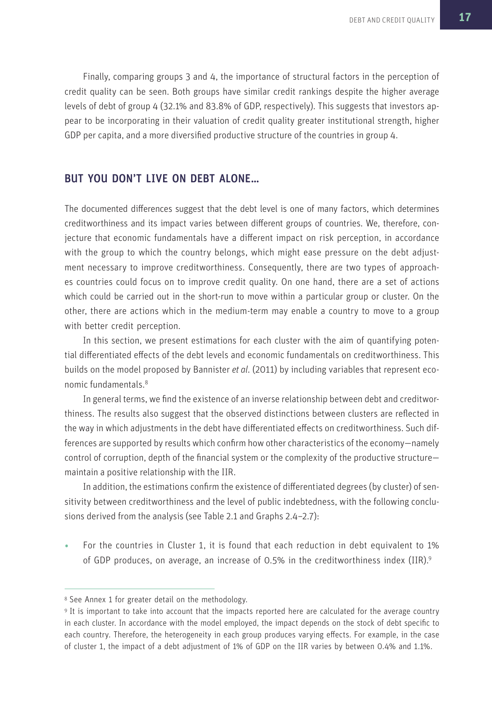Finally, comparing groups 3 and 4, the importance of structural factors in the perception of credit quality can be seen. Both groups have similar credit rankings despite the higher average levels of debt of group 4 (32.1% and 83.8% of GDP, respectively). This suggests that investors appear to be incorporating in their valuation of credit quality greater institutional strength, higher GDP per capita, and a more diversified productive structure of the countries in group 4.

#### BUT YOU DON'T LIVE ON DEBT ALONE…

The documented differences suggest that the debt level is one of many factors, which determines creditworthiness and its impact varies between different groups of countries. We, therefore, conjecture that economic fundamentals have a different impact on risk perception, in accordance with the group to which the country belongs, which might ease pressure on the debt adjustment necessary to improve creditworthiness. Consequently, there are two types of approaches countries could focus on to improve credit quality. On one hand, there are a set of actions which could be carried out in the short-run to move within a particular group or cluster. On the other, there are actions which in the medium-term may enable a country to move to a group with better credit perception.

In this section, we present estimations for each cluster with the aim of quantifying potential differentiated effects of the debt levels and economic fundamentals on creditworthiness. This builds on the model proposed by Bannister *et al*. (2011) by including variables that represent economic fundamentals.<sup>8</sup>

In general terms, we find the existence of an inverse relationship between debt and creditworthiness. The results also suggest that the observed distinctions between clusters are reflected in the way in which adjustments in the debt have differentiated effects on creditworthiness. Such differences are supported by results which confirm how other characteristics of the economy—namely control of corruption, depth of the financial system or the complexity of the productive structure maintain a positive relationship with the IIR.

In addition, the estimations confirm the existence of differentiated degrees (by cluster) of sensitivity between creditworthiness and the level of public indebtedness, with the following conclusions derived from the analysis (see Table 2.1 and Graphs 2.4–2.7):

• For the countries in Cluster 1, it is found that each reduction in debt equivalent to 1% of GDP produces, on average, an increase of 0.5% in the creditworthiness index ( $IIR$ ).<sup>9</sup>

<sup>8</sup> See Annex 1 for greater detail on the methodology.

<sup>9</sup>It is important to take into account that the impacts reported here are calculated for the average country in each cluster. In accordance with the model employed, the impact depends on the stock of debt specific to each country. Therefore, the heterogeneity in each group produces varying effects. For example, in the case of cluster 1, the impact of a debt adjustment of 1% of GDP on the IIR varies by between 0.4% and 1.1%.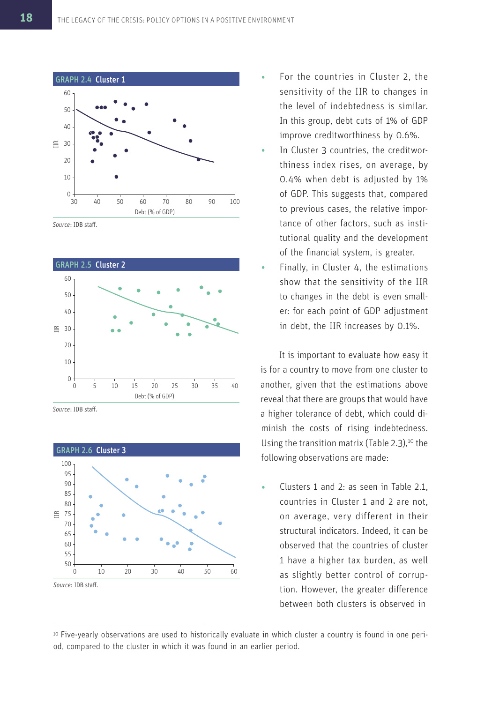

*Source*: IDB staff.



*Source*: IDB staff.



- For the countries in Cluster 2, the sensitivity of the IIR to changes in the level of indebtedness is similar. In this group, debt cuts of 1% of GDP improve creditworthiness by 0.6%.
- In Cluster 3 countries, the creditworthiness index rises, on average, by 0.4% when debt is adjusted by 1% of GDP. This suggests that, compared to previous cases, the relative importance of other factors, such as institutional quality and the development of the financial system, is greater.
- Finally, in Cluster 4, the estimations show that the sensitivity of the IIR to changes in the debt is even smaller: for each point of GDP adjustment in debt, the IIR increases by 0.1%.

It is important to evaluate how easy it is for a country to move from one cluster to another, given that the estimations above reveal that there are groups that would have a higher tolerance of debt, which could diminish the costs of rising indebtedness. Using the transition matrix (Table 2.3), $10$  the following observations are made:

• Clusters 1 and 2: as seen in Table 2.1, countries in Cluster 1 and 2 are not, on average, very different in their structural indicators. Indeed, it can be observed that the countries of cluster 1 have a higher tax burden, as well as slightly better control of corruption. However, the greater difference between both clusters is observed in

<sup>10</sup> Five-yearly observations are used to historically evaluate in which cluster a country is found in one period, compared to the cluster in which it was found in an earlier period.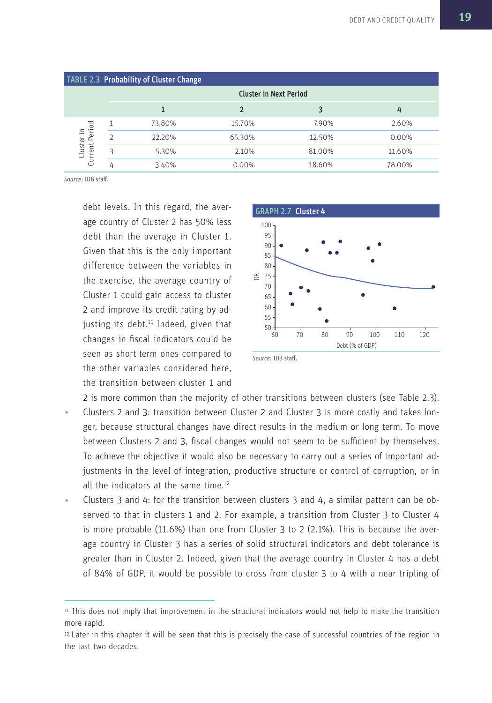|                              |   | <b>TABLE 2.3 Probability of Cluster Change</b> |        |        |        |  |  |
|------------------------------|---|------------------------------------------------|--------|--------|--------|--|--|
|                              |   | <b>Cluster in Next Period</b>                  |        |        |        |  |  |
|                              |   |                                                |        |        | 4      |  |  |
|                              |   | 73.80%                                         | 15.70% | 7.90%  | 2.60%  |  |  |
| Cluster in<br>Current Period |   | 22.20%                                         | 65.30% | 12.50% | 0.00%  |  |  |
|                              |   | 5.30%                                          | 2.10%  | 81.00% | 11.60% |  |  |
|                              | 4 | 3.40%                                          | 0.00%  | 18.60% | 78.00% |  |  |

*Source*: IDB staff.

debt levels. In this regard, the average country of Cluster 2 has 50% less debt than the average in Cluster 1. Given that this is the only important difference between the variables in the exercise, the average country of Cluster 1 could gain access to cluster 2 and improve its credit rating by adjusting its debt. $11$  Indeed, given that changes in fiscal indicators could be seen as short-term ones compared to the other variables considered here, the transition between cluster 1 and



*Source*: IDB staff.

2 is more common than the majority of other transitions between clusters (see Table 2.3).

- Clusters 2 and 3: transition between Cluster 2 and Cluster 3 is more costly and takes longer, because structural changes have direct results in the medium or long term. To move between Clusters 2 and 3, fiscal changes would not seem to be sufficient by themselves. To achieve the objective it would also be necessary to carry out a series of important adjustments in the level of integration, productive structure or control of corruption, or in all the indicators at the same time.<sup>12</sup>
- Clusters 3 and 4: for the transition between clusters 3 and 4, a similar pattern can be observed to that in clusters 1 and 2. For example, a transition from Cluster 3 to Cluster 4 is more probable (11.6%) than one from Cluster 3 to 2 (2.1%). This is because the average country in Cluster 3 has a series of solid structural indicators and debt tolerance is greater than in Cluster 2. Indeed, given that the average country in Cluster 4 has a debt of 84% of GDP, it would be possible to cross from cluster 3 to 4 with a near tripling of

<sup>11</sup>This does not imply that improvement in the structural indicators would not help to make the transition more rapid.

<sup>12</sup>Later in this chapter it will be seen that this is precisely the case of successful countries of the region in the last two decades.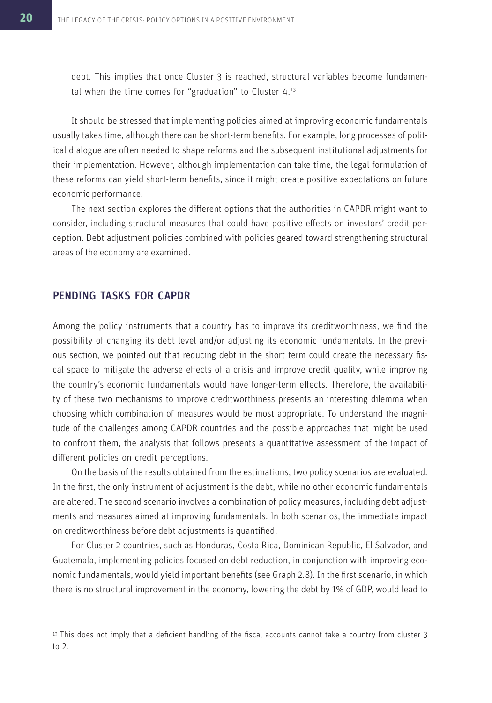debt. This implies that once Cluster 3 is reached, structural variables become fundamental when the time comes for "graduation" to Cluster  $4.13$ 

It should be stressed that implementing policies aimed at improving economic fundamentals usually takes time, although there can be short-term benefits. For example, long processes of political dialogue are often needed to shape reforms and the subsequent institutional adjustments for their implementation. However, although implementation can take time, the legal formulation of these reforms can yield short-term benefits, since it might create positive expectations on future economic performance.

The next section explores the different options that the authorities in CAPDR might want to consider, including structural measures that could have positive effects on investors' credit perception. Debt adjustment policies combined with policies geared toward strengthening structural areas of the economy are examined.

#### PENDING TASKS FOR CAPDR

Among the policy instruments that a country has to improve its creditworthiness, we find the possibility of changing its debt level and/or adjusting its economic fundamentals. In the previous section, we pointed out that reducing debt in the short term could create the necessary fiscal space to mitigate the adverse effects of a crisis and improve credit quality, while improving the country's economic fundamentals would have longer-term effects. Therefore, the availability of these two mechanisms to improve creditworthiness presents an interesting dilemma when choosing which combination of measures would be most appropriate. To understand the magnitude of the challenges among CAPDR countries and the possible approaches that might be used to confront them, the analysis that follows presents a quantitative assessment of the impact of different policies on credit perceptions.

On the basis of the results obtained from the estimations, two policy scenarios are evaluated. In the first, the only instrument of adjustment is the debt, while no other economic fundamentals are altered. The second scenario involves a combination of policy measures, including debt adjustments and measures aimed at improving fundamentals. In both scenarios, the immediate impact on creditworthiness before debt adjustments is quantified.

For Cluster 2 countries, such as Honduras, Costa Rica, Dominican Republic, El Salvador, and Guatemala, implementing policies focused on debt reduction, in conjunction with improving economic fundamentals, would yield important benefits (see Graph 2.8). In the first scenario, in which there is no structural improvement in the economy, lowering the debt by 1% of GDP, would lead to

<sup>&</sup>lt;sup>13</sup> This does not imply that a deficient handling of the fiscal accounts cannot take a country from cluster 3 to 2.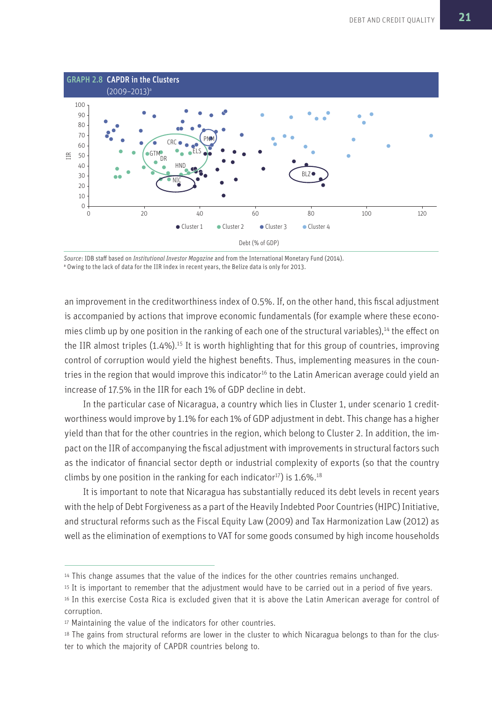

*Source*: IDB staff based on *Institutional Investor Magazine* and from the International Monetary Fund (2014). a Owing to the lack of data for the IIR index in recent years, the Belize data is only for 2013.

an improvement in the creditworthiness index of 0.5%. If, on the other hand, this fiscal adjustment is accompanied by actions that improve economic fundamentals (for example where these economies climb up by one position in the ranking of each one of the structural variables),<sup>14</sup> the effect on the IIR almost triples (1.4%).<sup>15</sup> It is worth highlighting that for this group of countries, improving control of corruption would yield the highest benefits. Thus, implementing measures in the countries in the region that would improve this indicator<sup>16</sup> to the Latin American average could yield an increase of 17.5% in the IIR for each 1% of GDP decline in debt.

In the particular case of Nicaragua, a country which lies in Cluster 1, under scenario 1 creditworthiness would improve by 1.1% for each 1% of GDP adjustment in debt. This change has a higher yield than that for the other countries in the region, which belong to Cluster 2. In addition, the impact on the IIR of accompanying the fiscal adjustment with improvements in structural factors such as the indicator of financial sector depth or industrial complexity of exports (so that the country climbs by one position in the ranking for each indicator<sup>17</sup>) is  $1.6\%$ <sup>18</sup>

It is important to note that Nicaragua has substantially reduced its debt levels in recent years with the help of Debt Forgiveness as a part of the Heavily Indebted Poor Countries (HIPC) Initiative, and structural reforms such as the Fiscal Equity Law (2009) and Tax Harmonization Law (2012) as well as the elimination of exemptions to VAT for some goods consumed by high income households

<sup>&</sup>lt;sup>14</sup> This change assumes that the value of the indices for the other countries remains unchanged.

<sup>&</sup>lt;sup>15</sup> It is important to remember that the adjustment would have to be carried out in a period of five years.

<sup>&</sup>lt;sup>16</sup> In this exercise Costa Rica is excluded given that it is above the Latin American average for control of corruption.

<sup>17</sup> Maintaining the value of the indicators for other countries.

<sup>18</sup> The gains from structural reforms are lower in the cluster to which Nicaragua belongs to than for the cluster to which the majority of CAPDR countries belong to.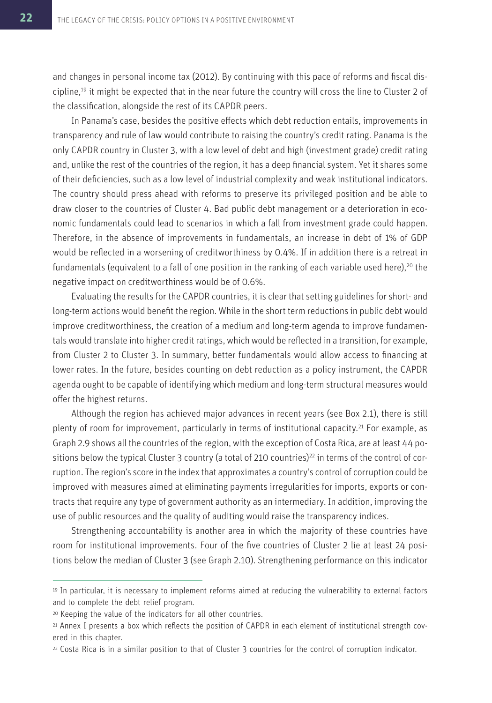and changes in personal income tax (2012). By continuing with this pace of reforms and fiscal discipline,<sup>19</sup> it might be expected that in the near future the country will cross the line to Cluster 2 of the classification, alongside the rest of its CAPDR peers.

In Panama's case, besides the positive effects which debt reduction entails, improvements in transparency and rule of law would contribute to raising the country's credit rating. Panama is the only CAPDR country in Cluster 3, with a low level of debt and high (investment grade) credit rating and, unlike the rest of the countries of the region, it has a deep financial system. Yet it shares some of their deficiencies, such as a low level of industrial complexity and weak institutional indicators. The country should press ahead with reforms to preserve its privileged position and be able to draw closer to the countries of Cluster 4. Bad public debt management or a deterioration in economic fundamentals could lead to scenarios in which a fall from investment grade could happen. Therefore, in the absence of improvements in fundamentals, an increase in debt of 1% of GDP would be reflected in a worsening of creditworthiness by 0.4%. If in addition there is a retreat in fundamentals (equivalent to a fall of one position in the ranking of each variable used here),<sup>20</sup> the negative impact on creditworthiness would be of 0.6%.

Evaluating the results for the CAPDR countries, it is clear that setting guidelines for short- and long-term actions would benefit the region. While in the short term reductions in public debt would improve creditworthiness, the creation of a medium and long-term agenda to improve fundamentals would translate into higher credit ratings, which would be reflected in a transition, for example, from Cluster 2 to Cluster 3. In summary, better fundamentals would allow access to financing at lower rates. In the future, besides counting on debt reduction as a policy instrument, the CAPDR agenda ought to be capable of identifying which medium and long-term structural measures would offer the highest returns.

Although the region has achieved major advances in recent years (see Box 2.1), there is still plenty of room for improvement, particularly in terms of institutional capacity.<sup>21</sup> For example, as Graph 2.9 shows all the countries of the region, with the exception of Costa Rica, are at least 44 positions below the typical Cluster 3 country (a total of 210 countries)<sup>22</sup> in terms of the control of corruption. The region's score in the index that approximates a country's control of corruption could be improved with measures aimed at eliminating payments irregularities for imports, exports or contracts that require any type of government authority as an intermediary. In addition, improving the use of public resources and the quality of auditing would raise the transparency indices.

Strengthening accountability is another area in which the majority of these countries have room for institutional improvements. Four of the five countries of Cluster 2 lie at least 24 positions below the median of Cluster 3 (see Graph 2.10). Strengthening performance on this indicator

<sup>19</sup>In particular, it is necessary to implement reforms aimed at reducing the vulnerability to external factors and to complete the debt relief program.

<sup>20</sup> Keeping the value of the indicators for all other countries.

<sup>21</sup> Annex I presents a box which reflects the position of CAPDR in each element of institutional strength covered in this chapter.

<sup>22</sup> Costa Rica is in a similar position to that of Cluster 3 countries for the control of corruption indicator.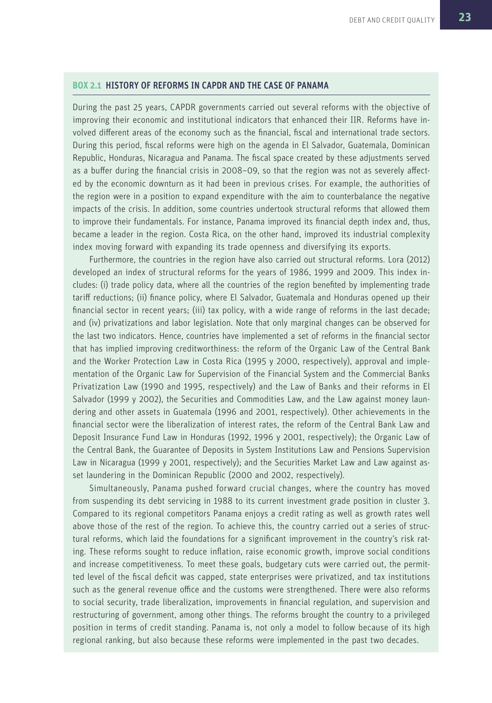#### **BOX 2.1** HISTORY OF REFORMS IN CAPDR AND THE CASE OF PANAMA

During the past 25 years, CAPDR governments carried out several reforms with the objective of improving their economic and institutional indicators that enhanced their IIR. Reforms have involved different areas of the economy such as the financial, fiscal and international trade sectors. During this period, fiscal reforms were high on the agenda in El Salvador, Guatemala, Dominican Republic, Honduras, Nicaragua and Panama. The fiscal space created by these adjustments served as a buffer during the financial crisis in 2008–09, so that the region was not as severely affected by the economic downturn as it had been in previous crises. For example, the authorities of the region were in a position to expand expenditure with the aim to counterbalance the negative impacts of the crisis. In addition, some countries undertook structural reforms that allowed them to improve their fundamentals. For instance, Panama improved its financial depth index and, thus, became a leader in the region. Costa Rica, on the other hand, improved its industrial complexity index moving forward with expanding its trade openness and diversifying its exports.

Furthermore, the countries in the region have also carried out structural reforms. Lora (2012) developed an index of structural reforms for the years of 1986, 1999 and 2009. This index includes: (i) trade policy data, where all the countries of the region benefited by implementing trade tariff reductions; (ii) finance policy, where El Salvador, Guatemala and Honduras opened up their financial sector in recent years; (iii) tax policy, with a wide range of reforms in the last decade; and (iv) privatizations and labor legislation. Note that only marginal changes can be observed for the last two indicators. Hence, countries have implemented a set of reforms in the financial sector that has implied improving creditworthiness: the reform of the Organic Law of the Central Bank and the Worker Protection Law in Costa Rica (1995 y 2000, respectively), approval and implementation of the Organic Law for Supervision of the Financial System and the Commercial Banks Privatization Law (1990 and 1995, respectively) and the Law of Banks and their reforms in El Salvador (1999 y 2002), the Securities and Commodities Law, and the Law against money laundering and other assets in Guatemala (1996 and 2001, respectively). Other achievements in the financial sector were the liberalization of interest rates, the reform of the Central Bank Law and Deposit Insurance Fund Law in Honduras (1992, 1996 y 2001, respectively); the Organic Law of the Central Bank, the Guarantee of Deposits in System Institutions Law and Pensions Supervision Law in Nicaragua (1999 y 2001, respectively); and the Securities Market Law and Law against asset laundering in the Dominican Republic (2000 and 2002, respectively).

Simultaneously, Panama pushed forward crucial changes, where the country has moved from suspending its debt servicing in 1988 to its current investment grade position in cluster 3. Compared to its regional competitors Panama enjoys a credit rating as well as growth rates well above those of the rest of the region. To achieve this, the country carried out a series of structural reforms, which laid the foundations for a significant improvement in the country's risk rating. These reforms sought to reduce inflation, raise economic growth, improve social conditions and increase competitiveness. To meet these goals, budgetary cuts were carried out, the permitted level of the fiscal deficit was capped, state enterprises were privatized, and tax institutions such as the general revenue office and the customs were strengthened. There were also reforms to social security, trade liberalization, improvements in financial regulation, and supervision and restructuring of government, among other things. The reforms brought the country to a privileged position in terms of credit standing. Panama is, not only a model to follow because of its high regional ranking, but also because these reforms were implemented in the past two decades.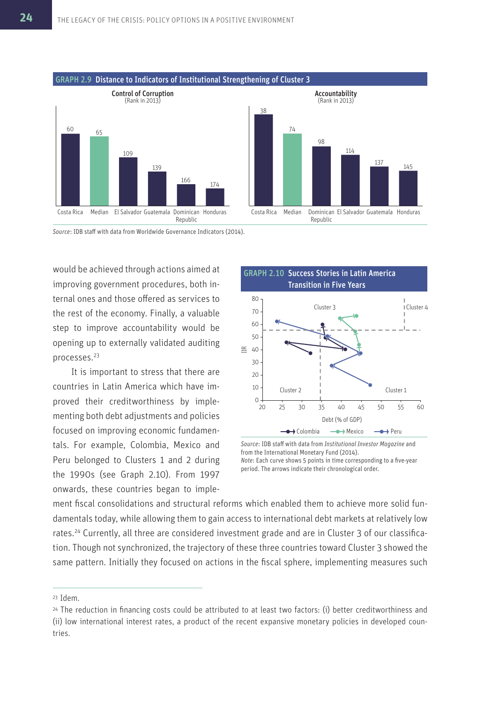

*Source*: IDB staff with data from Worldwide Governance Indicators (2014).

would be achieved through actions aimed at improving government procedures, both internal ones and those offered as services to the rest of the economy. Finally, a valuable step to improve accountability would be opening up to externally validated auditing processes.<sup>23</sup>

It is important to stress that there are countries in Latin America which have improved their creditworthiness by implementing both debt adjustments and policies focused on improving economic fundamentals. For example, Colombia, Mexico and Peru belonged to Clusters 1 and 2 during the 1990s (see Graph 2.10). From 1997 onwards, these countries began to imple-



*Source*: IDB staff with data from *Institutional Investor Magazine* and from the International Monetary Fund (2014). *Note*: Each curve shows 5 points in time corresponding to a five-year period. The arrows indicate their chronological order.

ment fiscal consolidations and structural reforms which enabled them to achieve more solid fundamentals today, while allowing them to gain access to international debt markets at relatively low rates.24 Currently, all three are considered investment grade and are in Cluster 3 of our classification. Though not synchronized, the trajectory of these three countries toward Cluster 3 showed the same pattern. Initially they focused on actions in the fiscal sphere, implementing measures such

<sup>23</sup>Idem.

<sup>&</sup>lt;sup>24</sup> The reduction in financing costs could be attributed to at least two factors: (i) better creditworthiness and (ii) low international interest rates, a product of the recent expansive monetary policies in developed countries.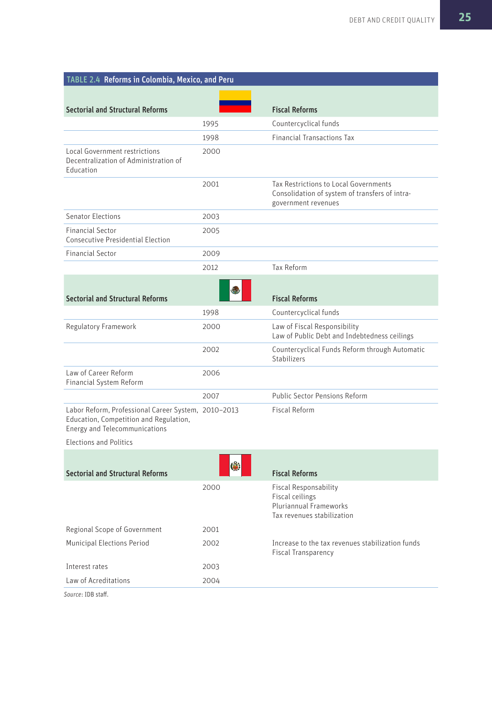| TABLE 2.4 Reforms in Colombia, Mexico, and Peru                                                                                       |      |                                                                                                                |
|---------------------------------------------------------------------------------------------------------------------------------------|------|----------------------------------------------------------------------------------------------------------------|
|                                                                                                                                       |      |                                                                                                                |
| <b>Sectorial and Structural Reforms</b>                                                                                               |      | <b>Fiscal Reforms</b>                                                                                          |
|                                                                                                                                       | 1995 | Countercyclical funds                                                                                          |
|                                                                                                                                       | 1998 | <b>Financial Transactions Tax</b>                                                                              |
| Local Government restrictions<br>Decentralization of Administration of<br>Education                                                   | 2000 |                                                                                                                |
|                                                                                                                                       | 2001 | Tax Restrictions to Local Governments<br>Consolidation of system of transfers of intra-<br>government revenues |
| <b>Senator Elections</b>                                                                                                              | 2003 |                                                                                                                |
| <b>Financial Sector</b><br><b>Consecutive Presidential Election</b>                                                                   | 2005 |                                                                                                                |
| <b>Financial Sector</b>                                                                                                               | 2009 |                                                                                                                |
|                                                                                                                                       | 2012 | Tax Reform                                                                                                     |
|                                                                                                                                       |      |                                                                                                                |
| <b>Sectorial and Structural Reforms</b>                                                                                               |      | <b>Fiscal Reforms</b>                                                                                          |
|                                                                                                                                       | 1998 | Countercyclical funds                                                                                          |
| Regulatory Framework                                                                                                                  | 2000 | Law of Fiscal Responsibility<br>Law of Public Debt and Indebtedness ceilings                                   |
|                                                                                                                                       | 2002 | Countercyclical Funds Reform through Automatic<br>Stabilizers                                                  |
| Law of Career Reform<br>Financial System Reform                                                                                       | 2006 |                                                                                                                |
|                                                                                                                                       | 2007 | Public Sector Pensions Reform                                                                                  |
| Labor Reform, Professional Career System, 2010-2013<br>Education, Competition and Regulation,<br><b>Energy and Telecommunications</b> |      | <b>Fiscal Reform</b>                                                                                           |
| <b>Elections and Politics</b>                                                                                                         |      |                                                                                                                |
|                                                                                                                                       | ۵    |                                                                                                                |
| <b>Sectorial and Structural Reforms</b>                                                                                               |      | <b>Fiscal Reforms</b>                                                                                          |
|                                                                                                                                       | 2000 | <b>Fiscal Responsability</b><br>Fiscal ceilings<br><b>Pluriannual Frameworks</b><br>Tax revenues stabilization |
| Regional Scope of Government                                                                                                          | 2001 |                                                                                                                |
| <b>Municipal Elections Period</b>                                                                                                     | 2002 | Increase to the tax revenues stabilization funds<br><b>Fiscal Transparency</b>                                 |
| Interest rates                                                                                                                        | 2003 |                                                                                                                |
| Law of Acreditations                                                                                                                  | 2004 |                                                                                                                |
| Source: IDB staff.                                                                                                                    |      |                                                                                                                |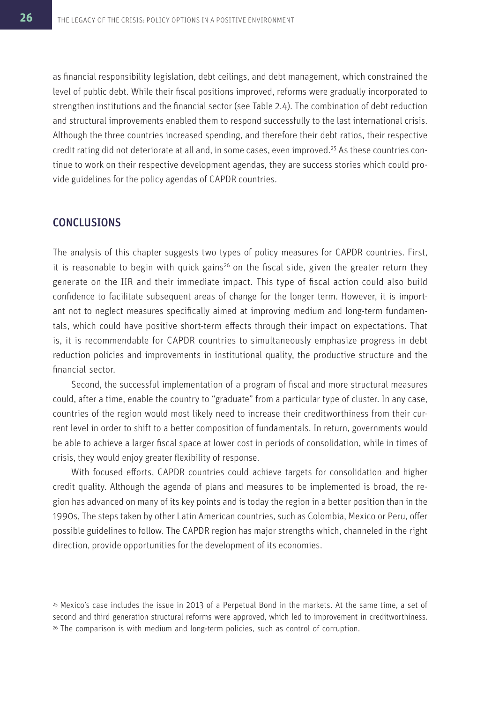as financial responsibility legislation, debt ceilings, and debt management, which constrained the level of public debt. While their fiscal positions improved, reforms were gradually incorporated to strengthen institutions and the financial sector (see Table 2.4). The combination of debt reduction and structural improvements enabled them to respond successfully to the last international crisis. Although the three countries increased spending, and therefore their debt ratios, their respective credit rating did not deteriorate at all and, in some cases, even improved.<sup>25</sup> As these countries continue to work on their respective development agendas, they are success stories which could provide guidelines for the policy agendas of CAPDR countries.

### CONCLUSIONS

The analysis of this chapter suggests two types of policy measures for CAPDR countries. First, it is reasonable to begin with quick gains<sup>26</sup> on the fiscal side, given the greater return they generate on the IIR and their immediate impact. This type of fiscal action could also build confidence to facilitate subsequent areas of change for the longer term. However, it is important not to neglect measures specifically aimed at improving medium and long-term fundamentals, which could have positive short-term effects through their impact on expectations. That is, it is recommendable for CAPDR countries to simultaneously emphasize progress in debt reduction policies and improvements in institutional quality, the productive structure and the financial sector.

Second, the successful implementation of a program of fiscal and more structural measures could, after a time, enable the country to "graduate" from a particular type of cluster. In any case, countries of the region would most likely need to increase their creditworthiness from their current level in order to shift to a better composition of fundamentals. In return, governments would be able to achieve a larger fiscal space at lower cost in periods of consolidation, while in times of crisis, they would enjoy greater flexibility of response.

With focused efforts, CAPDR countries could achieve targets for consolidation and higher credit quality. Although the agenda of plans and measures to be implemented is broad, the region has advanced on many of its key points and is today the region in a better position than in the 1990s, The steps taken by other Latin American countries, such as Colombia, Mexico or Peru, offer possible guidelines to follow. The CAPDR region has major strengths which, channeled in the right direction, provide opportunities for the development of its economies.

<sup>25</sup>Mexico's case includes the issue in 2013 of a Perpetual Bond in the markets. At the same time, a set of second and third generation structural reforms were approved, which led to improvement in creditworthiness. <sup>26</sup> The comparison is with medium and long-term policies, such as control of corruption.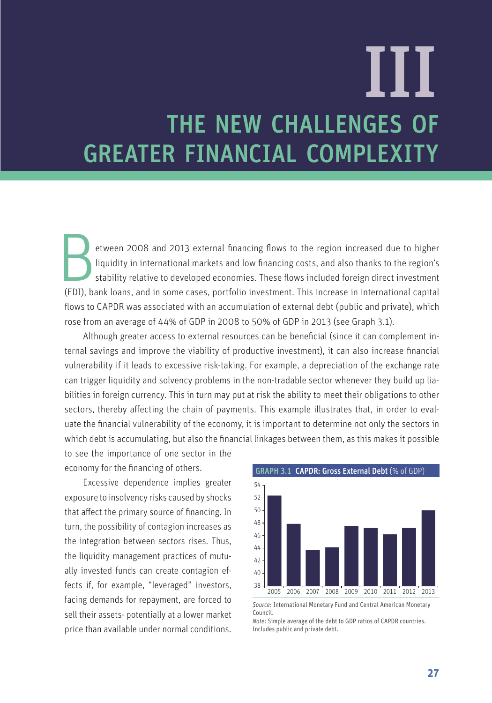# THE NEW CHALLENGES OF GREATER FINANCIAL COMPLEXITY III

Electron 2008 and 2013 external financing flows to the region increased due to higher liquidity in international markets and low financing costs, and also thanks to the region's stability relative to developed economies. T etween 2008 and 2013 external financing flows to the region increased due to higher liquidity in international markets and low financing costs, and also thanks to the region's stability relative to developed economies. These flows included foreign direct investment flows to CAPDR was associated with an accumulation of external debt (public and private), which rose from an average of 44% of GDP in 2008 to 50% of GDP in 2013 (see Graph 3.1).

Although greater access to external resources can be beneficial (since it can complement internal savings and improve the viability of productive investment), it can also increase financial vulnerability if it leads to excessive risk-taking. For example, a depreciation of the exchange rate can trigger liquidity and solvency problems in the non-tradable sector whenever they build up liabilities in foreign currency. This in turn may put at risk the ability to meet their obligations to other sectors, thereby affecting the chain of payments. This example illustrates that, in order to evaluate the financial vulnerability of the economy, it is important to determine not only the sectors in which debt is accumulating, but also the financial linkages between them, as this makes it possible

to see the importance of one sector in the economy for the financing of others.

Excessive dependence implies greater exposure to insolvency risks caused by shocks that affect the primary source of financing. In turn, the possibility of contagion increases as the integration between sectors rises. Thus, the liquidity management practices of mutually invested funds can create contagion effects if, for example, "leveraged" investors, facing demands for repayment, are forced to sell their assets- potentially at a lower market price than available under normal conditions.



*Source*: International Monetary Fund and Central American Monetary Council.

*Note*: Simple average of the debt to GDP ratios of CAPDR countries. Includes public and private debt.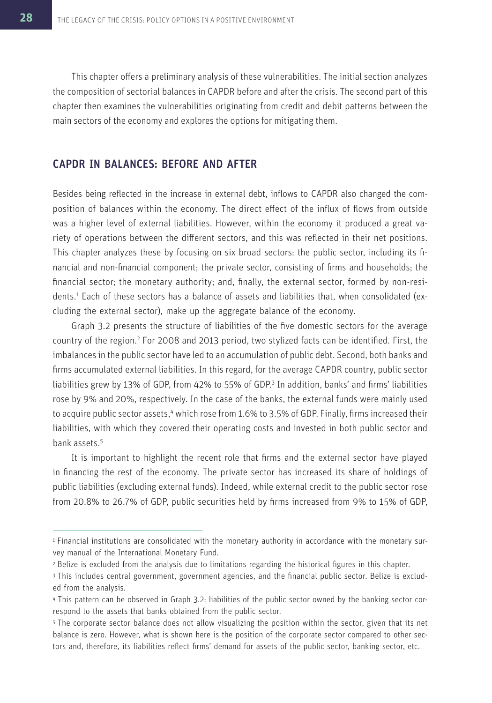This chapter offers a preliminary analysis of these vulnerabilities. The initial section analyzes the composition of sectorial balances in CAPDR before and after the crisis. The second part of this chapter then examines the vulnerabilities originating from credit and debit patterns between the main sectors of the economy and explores the options for mitigating them.

### CAPDR IN BALANCES: BEFORE AND AFTER

Besides being reflected in the increase in external debt, inflows to CAPDR also changed the composition of balances within the economy. The direct effect of the influx of flows from outside was a higher level of external liabilities. However, within the economy it produced a great variety of operations between the different sectors, and this was reflected in their net positions. This chapter analyzes these by focusing on six broad sectors: the public sector, including its financial and non-financial component; the private sector, consisting of firms and households; the financial sector; the monetary authority; and, finally, the external sector, formed by non-residents.<sup>1</sup> Each of these sectors has a balance of assets and liabilities that, when consolidated (excluding the external sector), make up the aggregate balance of the economy.

Graph 3.2 presents the structure of liabilities of the five domestic sectors for the average country of the region.<sup>2</sup> For 2008 and 2013 period, two stylized facts can be identified. First, the imbalances in the public sector have led to an accumulation of public debt. Second, both banks and firms accumulated external liabilities. In this regard, for the average CAPDR country, public sector liabilities grew by 13% of GDP, from 42% to 55% of GDP.<sup>3</sup> In addition, banks' and firms' liabilities rose by 9% and 20%, respectively. In the case of the banks, the external funds were mainly used to acquire public sector assets, 4 which rose from 1.6% to 3.5% of GDP. Finally, firms increased their liabilities, with which they covered their operating costs and invested in both public sector and bank assets.<sup>5</sup>

It is important to highlight the recent role that firms and the external sector have played in financing the rest of the economy. The private sector has increased its share of holdings of public liabilities (excluding external funds). Indeed, while external credit to the public sector rose from 20.8% to 26.7% of GDP, public securities held by firms increased from 9% to 15% of GDP,

<sup>1</sup> Financial institutions are consolidated with the monetary authority in accordance with the monetary survey manual of the International Monetary Fund.

<sup>&</sup>lt;sup>2</sup> Belize is excluded from the analysis due to limitations regarding the historical figures in this chapter.

<sup>3</sup> This includes central government, government agencies, and the financial public sector. Belize is excluded from the analysis.

<sup>4</sup> This pattern can be observed in Graph 3.2: liabilities of the public sector owned by the banking sector correspond to the assets that banks obtained from the public sector.

<sup>5</sup>The corporate sector balance does not allow visualizing the position within the sector, given that its net balance is zero. However, what is shown here is the position of the corporate sector compared to other sectors and, therefore, its liabilities reflect firms' demand for assets of the public sector, banking sector, etc.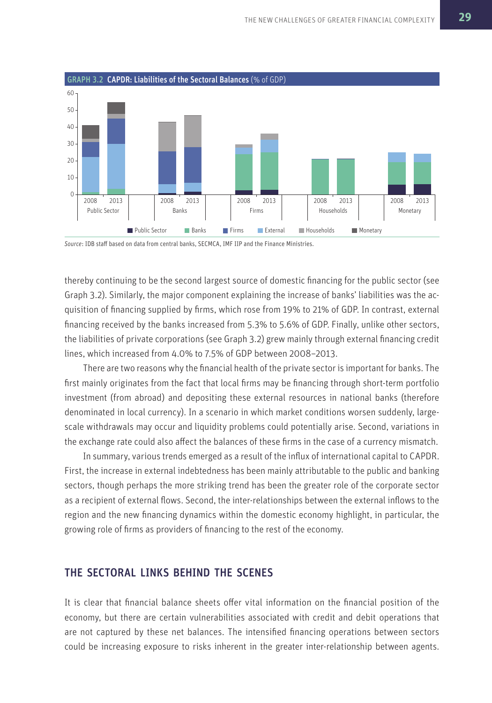

*Source*: IDB staff based on data from central banks, SECMCA, IMF IIP and the Finance Ministries.

thereby continuing to be the second largest source of domestic financing for the public sector (see Graph 3.2). Similarly, the major component explaining the increase of banks' liabilities was the acquisition of financing supplied by firms, which rose from 19% to 21% of GDP. In contrast, external financing received by the banks increased from 5.3% to 5.6% of GDP. Finally, unlike other sectors, the liabilities of private corporations (see Graph 3.2) grew mainly through external financing credit lines, which increased from 4.0% to 7.5% of GDP between 2008–2013.

There are two reasons why the financial health of the private sector is important for banks. The first mainly originates from the fact that local firms may be financing through short-term portfolio investment (from abroad) and depositing these external resources in national banks (therefore denominated in local currency). In a scenario in which market conditions worsen suddenly, largescale withdrawals may occur and liquidity problems could potentially arise. Second, variations in the exchange rate could also affect the balances of these firms in the case of a currency mismatch.

In summary, various trends emerged as a result of the influx of international capital to CAPDR. First, the increase in external indebtedness has been mainly attributable to the public and banking sectors, though perhaps the more striking trend has been the greater role of the corporate sector as a recipient of external flows. Second, the inter-relationships between the external inflows to the region and the new financing dynamics within the domestic economy highlight, in particular, the growing role of firms as providers of financing to the rest of the economy.

### THE SECTORAL LINKS BEHIND THE SCENES

It is clear that financial balance sheets offer vital information on the financial position of the economy, but there are certain vulnerabilities associated with credit and debit operations that are not captured by these net balances. The intensified financing operations between sectors could be increasing exposure to risks inherent in the greater inter-relationship between agents.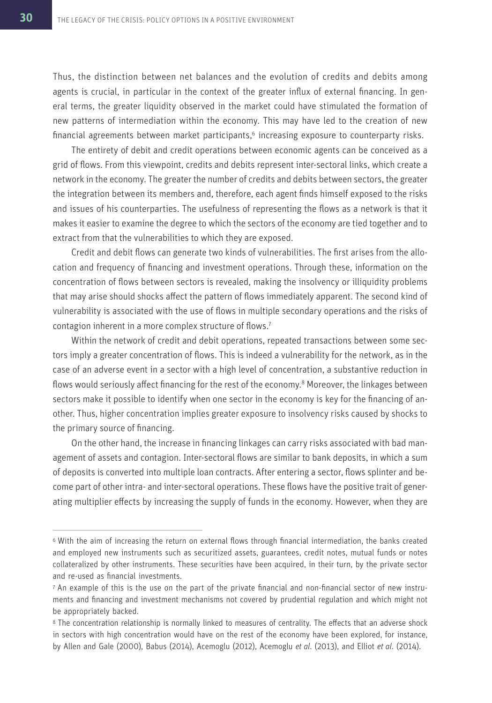Thus, the distinction between net balances and the evolution of credits and debits among agents is crucial, in particular in the context of the greater influx of external financing. In general terms, the greater liquidity observed in the market could have stimulated the formation of new patterns of intermediation within the economy. This may have led to the creation of new financial agreements between market participants,<sup>6</sup> increasing exposure to counterparty risks.

The entirety of debit and credit operations between economic agents can be conceived as a grid of flows. From this viewpoint, credits and debits represent inter-sectoral links, which create a network in the economy. The greater the number of credits and debits between sectors, the greater the integration between its members and, therefore, each agent finds himself exposed to the risks and issues of his counterparties. The usefulness of representing the flows as a network is that it makes it easier to examine the degree to which the sectors of the economy are tied together and to extract from that the vulnerabilities to which they are exposed.

Credit and debit flows can generate two kinds of vulnerabilities. The first arises from the allocation and frequency of financing and investment operations. Through these, information on the concentration of flows between sectors is revealed, making the insolvency or illiquidity problems that may arise should shocks affect the pattern of flows immediately apparent. The second kind of vulnerability is associated with the use of flows in multiple secondary operations and the risks of contagion inherent in a more complex structure of flows.<sup>7</sup>

Within the network of credit and debit operations, repeated transactions between some sectors imply a greater concentration of flows. This is indeed a vulnerability for the network, as in the case of an adverse event in a sector with a high level of concentration, a substantive reduction in flows would seriously affect financing for the rest of the economy.<sup>8</sup> Moreover, the linkages between sectors make it possible to identify when one sector in the economy is key for the financing of another. Thus, higher concentration implies greater exposure to insolvency risks caused by shocks to the primary source of financing.

On the other hand, the increase in financing linkages can carry risks associated with bad management of assets and contagion. Inter-sectoral flows are similar to bank deposits, in which a sum of deposits is converted into multiple loan contracts. After entering a sector, flows splinter and become part of other intra- and inter-sectoral operations. These flows have the positive trait of generating multiplier effects by increasing the supply of funds in the economy. However, when they are

<sup>6</sup>With the aim of increasing the return on external flows through financial intermediation, the banks created and employed new instruments such as securitized assets, guarantees, credit notes, mutual funds or notes collateralized by other instruments. These securities have been acquired, in their turn, by the private sector and re-used as financial investments.

<sup>7</sup> An example of this is the use on the part of the private financial and non-financial sector of new instruments and financing and investment mechanisms not covered by prudential regulation and which might not be appropriately backed.

<sup>&</sup>lt;sup>8</sup> The concentration relationship is normally linked to measures of centrality. The effects that an adverse shock in sectors with high concentration would have on the rest of the economy have been explored, for instance, by Allen and Gale (2000), Babus (2014), Acemoglu (2012), Acemoglu *et al*. (2013), and Elliot *et al*. (2014).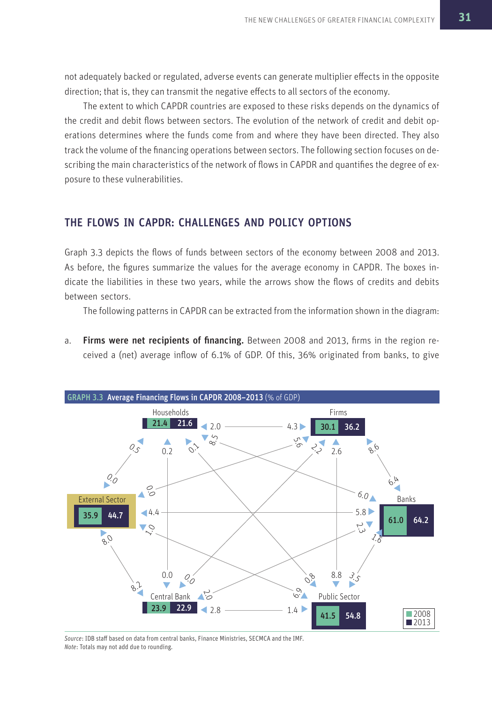not adequately backed or regulated, adverse events can generate multiplier effects in the opposite direction; that is, they can transmit the negative effects to all sectors of the economy.

The extent to which CAPDR countries are exposed to these risks depends on the dynamics of the credit and debit flows between sectors. The evolution of the network of credit and debit operations determines where the funds come from and where they have been directed. They also track the volume of the financing operations between sectors. The following section focuses on describing the main characteristics of the network of flows in CAPDR and quantifies the degree of exposure to these vulnerabilities.

### THE FLOWS IN CAPDR: CHALLENGES AND POLICY OPTIONS

Graph 3.3 depicts the flows of funds between sectors of the economy between 2008 and 2013. As before, the figures summarize the values for the average economy in CAPDR. The boxes indicate the liabilities in these two years, while the arrows show the flows of credits and debits between sectors.

The following patterns in CAPDR can be extracted from the information shown in the diagram:

a. Firms were net recipients of financing. Between 2008 and 2013, firms in the region received a (net) average inflow of 6.1% of GDP. Of this, 36% originated from banks, to give



*Source*: IDB staff based on data from central banks, Finance Ministries, SECMCA and the IMF. *Note*: Totals may not add due to rounding.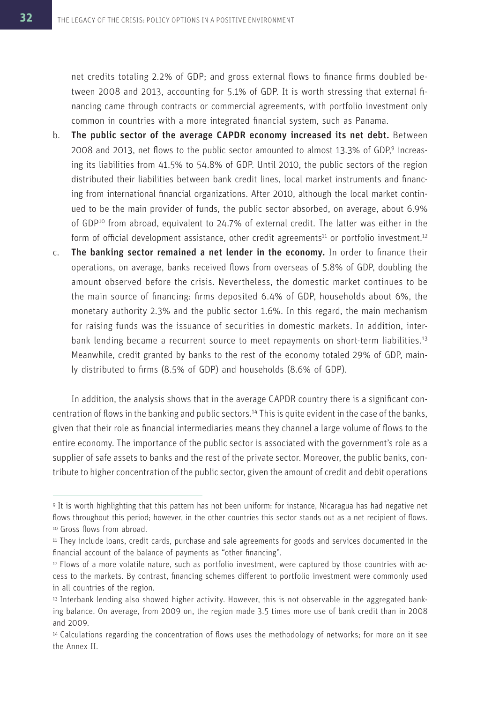net credits totaling 2.2% of GDP; and gross external flows to finance firms doubled between 2008 and 2013, accounting for 5.1% of GDP. It is worth stressing that external financing came through contracts or commercial agreements, with portfolio investment only common in countries with a more integrated financial system, such as Panama.

- b. The public sector of the average CAPDR economy increased its net debt. Between 2008 and 2013, net flows to the public sector amounted to almost 13.3% of GDP,<sup>9</sup> increasing its liabilities from 41.5% to 54.8% of GDP. Until 2010, the public sectors of the region distributed their liabilities between bank credit lines, local market instruments and financing from international financial organizations. After 2010, although the local market continued to be the main provider of funds, the public sector absorbed, on average, about 6.9% of GDP<sup>10</sup> from abroad, equivalent to 24.7% of external credit. The latter was either in the form of official development assistance, other credit agreements<sup>11</sup> or portfolio investment.<sup>12</sup>
- c. The banking sector remained a net lender in the economy. In order to finance their operations, on average, banks received flows from overseas of 5.8% of GDP, doubling the amount observed before the crisis. Nevertheless, the domestic market continues to be the main source of financing: firms deposited 6.4% of GDP, households about 6%, the monetary authority 2.3% and the public sector 1.6%. In this regard, the main mechanism for raising funds was the issuance of securities in domestic markets. In addition, interbank lending became a recurrent source to meet repayments on short-term liabilities.<sup>13</sup> Meanwhile, credit granted by banks to the rest of the economy totaled 29% of GDP, mainly distributed to firms (8.5% of GDP) and households (8.6% of GDP).

In addition, the analysis shows that in the average CAPDR country there is a significant concentration of flows in the banking and public sectors.<sup>14</sup> This is quite evident in the case of the banks, given that their role as financial intermediaries means they channel a large volume of flows to the entire economy. The importance of the public sector is associated with the government's role as a supplier of safe assets to banks and the rest of the private sector. Moreover, the public banks, contribute to higher concentration of the public sector, given the amount of credit and debit operations

<sup>9</sup>It is worth highlighting that this pattern has not been uniform: for instance, Nicaragua has had negative net flows throughout this period; however, in the other countries this sector stands out as a net recipient of flows. 10 Gross flows from abroad.

<sup>11</sup>They include loans, credit cards, purchase and sale agreements for goods and services documented in the financial account of the balance of payments as "other financing".

<sup>12</sup> Flows of a more volatile nature, such as portfolio investment, were captured by those countries with access to the markets. By contrast, financing schemes different to portfolio investment were commonly used in all countries of the region.

<sup>13</sup> Interbank lending also showed higher activity. However, this is not observable in the aggregated banking balance. On average, from 2009 on, the region made 3.5 times more use of bank credit than in 2008 and 2009.

<sup>14</sup>Calculations regarding the concentration of flows uses the methodology of networks; for more on it see the Annex II.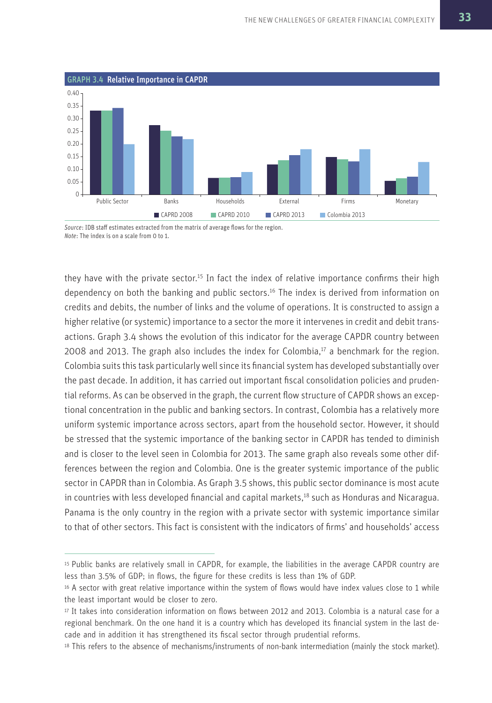

*Source*: IDB staff estimates extracted from the matrix of average flows for the region. *Note*: The index is on a scale from 0 to 1.

they have with the private sector.<sup>15</sup> In fact the index of relative importance confirms their high dependency on both the banking and public sectors.<sup>16</sup> The index is derived from information on credits and debits, the number of links and the volume of operations. It is constructed to assign a higher relative (or systemic) importance to a sector the more it intervenes in credit and debit transactions. Graph 3.4 shows the evolution of this indicator for the average CAPDR country between 2008 and 2013. The graph also includes the index for Colombia, $17$  a benchmark for the region. Colombia suits this task particularly well since its financial system has developed substantially over the past decade. In addition, it has carried out important fiscal consolidation policies and prudential reforms. As can be observed in the graph, the current flow structure of CAPDR shows an exceptional concentration in the public and banking sectors. In contrast, Colombia has a relatively more uniform systemic importance across sectors, apart from the household sector. However, it should be stressed that the systemic importance of the banking sector in CAPDR has tended to diminish and is closer to the level seen in Colombia for 2013. The same graph also reveals some other differences between the region and Colombia. One is the greater systemic importance of the public sector in CAPDR than in Colombia. As Graph 3.5 shows, this public sector dominance is most acute in countries with less developed financial and capital markets,<sup>18</sup> such as Honduras and Nicaragua. Panama is the only country in the region with a private sector with systemic importance similar to that of other sectors. This fact is consistent with the indicators of firms' and households' access

<sup>15</sup> Public banks are relatively small in CAPDR, for example, the liabilities in the average CAPDR country are less than 3.5% of GDP; in flows, the figure for these credits is less than 1% of GDP.

<sup>&</sup>lt;sup>16</sup> A sector with great relative importance within the system of flows would have index values close to 1 while the least important would be closer to zero.

<sup>17</sup>It takes into consideration information on flows between 2012 and 2013. Colombia is a natural case for a regional benchmark. On the one hand it is a country which has developed its financial system in the last decade and in addition it has strengthened its fiscal sector through prudential reforms.

<sup>18</sup>This refers to the absence of mechanisms/instruments of non-bank intermediation (mainly the stock market).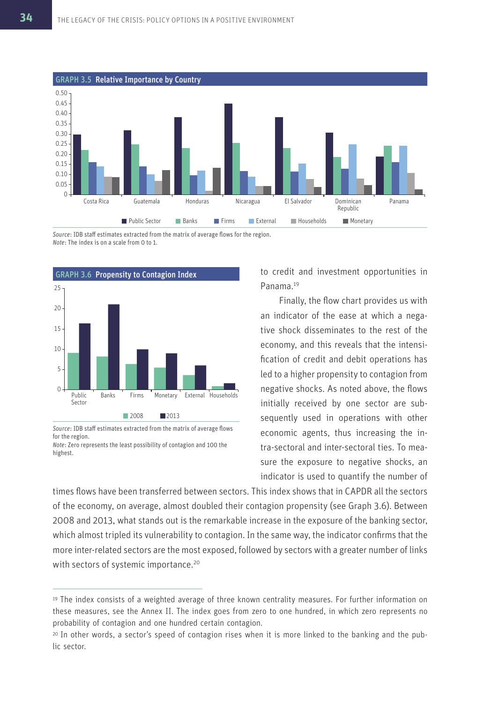

*Source*: IDB staff estimates extracted from the matrix of average flows for the region. *Note*: The index is on a scale from 0 to 1.



*Source*: IDB staff estimates extracted from the matrix of average flows for the region.

*Note*: Zero represents the least possibility of contagion and 100 the highest.

to credit and investment opportunities in Panama<sup>19</sup>

Finally, the flow chart provides us with an indicator of the ease at which a negative shock disseminates to the rest of the economy, and this reveals that the intensification of credit and debit operations has led to a higher propensity to contagion from negative shocks. As noted above, the flows initially received by one sector are subsequently used in operations with other economic agents, thus increasing the intra-sectoral and inter-sectoral ties. To measure the exposure to negative shocks, an indicator is used to quantify the number of

times flows have been transferred between sectors. This index shows that in CAPDR all the sectors of the economy, on average, almost doubled their contagion propensity (see Graph 3.6). Between 2008 and 2013, what stands out is the remarkable increase in the exposure of the banking sector, which almost tripled its vulnerability to contagion. In the same way, the indicator confirms that the more inter-related sectors are the most exposed, followed by sectors with a greater number of links with sectors of systemic importance.<sup>20</sup>

<sup>19</sup>The index consists of a weighted average of three known centrality measures. For further information on these measures, see the Annex II. The index goes from zero to one hundred, in which zero represents no probability of contagion and one hundred certain contagion.

<sup>20</sup> In other words, a sector's speed of contagion rises when it is more linked to the banking and the public sector.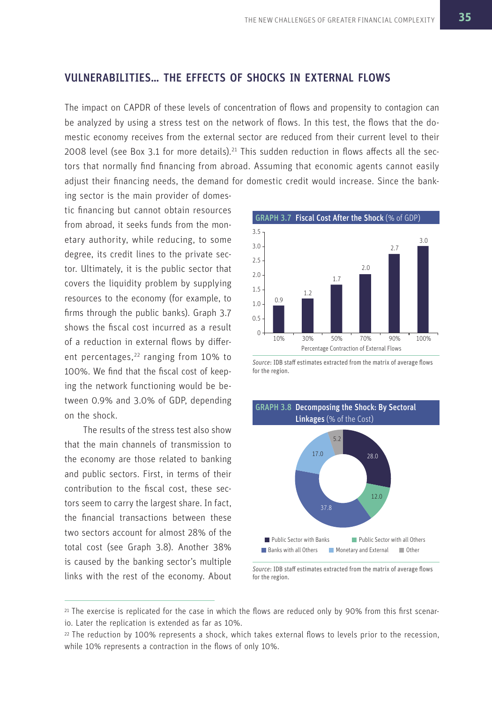### VULNERABILITIES… THE EFFECTS OF SHOCKS IN EXTERNAL FLOWS

The impact on CAPDR of these levels of concentration of flows and propensity to contagion can be analyzed by using a stress test on the network of flows. In this test, the flows that the domestic economy receives from the external sector are reduced from their current level to their 2008 level (see Box 3.1 for more details).<sup>21</sup> This sudden reduction in flows affects all the sectors that normally find financing from abroad. Assuming that economic agents cannot easily adjust their financing needs, the demand for domestic credit would increase. Since the bank-

ing sector is the main provider of domestic financing but cannot obtain resources from abroad, it seeks funds from the monetary authority, while reducing, to some degree, its credit lines to the private sector. Ultimately, it is the public sector that covers the liquidity problem by supplying resources to the economy (for example, to firms through the public banks). Graph 3.7 shows the fiscal cost incurred as a result of a reduction in external flows by different percentages,<sup>22</sup> ranging from 10% to 100%. We find that the fiscal cost of keeping the network functioning would be between 0.9% and 3.0% of GDP, depending on the shock.

The results of the stress test also show that the main channels of transmission to the economy are those related to banking and public sectors. First, in terms of their contribution to the fiscal cost, these sectors seem to carry the largest share. In fact, the financial transactions between these two sectors account for almost 28% of the total cost (see Graph 3.8). Another 38% is caused by the banking sector's multiple links with the rest of the economy. About



*Source*: IDB staff estimates extracted from the matrix of average flows for the region.



*Source*: IDB staff estimates extracted from the matrix of average flows for the region.

<sup>21</sup> The exercise is replicated for the case in which the flows are reduced only by 90% from this first scenario. Later the replication is extended as far as 10%.

<sup>22</sup>The reduction by 100% represents a shock, which takes external flows to levels prior to the recession, while 10% represents a contraction in the flows of only 10%.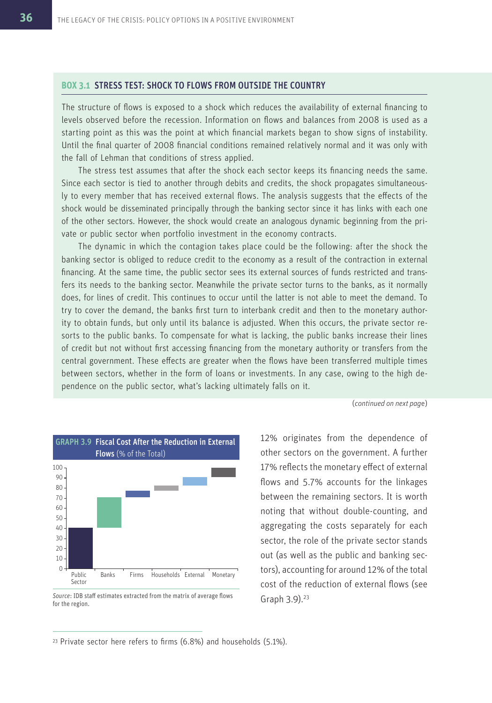### **BOX 3.1** STRESS TEST: SHOCK TO FLOWS FROM OUTSIDE THE COUNTRY

The structure of flows is exposed to a shock which reduces the availability of external financing to levels observed before the recession. Information on flows and balances from 2008 is used as a starting point as this was the point at which financial markets began to show signs of instability. Until the final quarter of 2008 financial conditions remained relatively normal and it was only with the fall of Lehman that conditions of stress applied.

The stress test assumes that after the shock each sector keeps its financing needs the same. Since each sector is tied to another through debits and credits, the shock propagates simultaneously to every member that has received external flows. The analysis suggests that the effects of the shock would be disseminated principally through the banking sector since it has links with each one of the other sectors. However, the shock would create an analogous dynamic beginning from the private or public sector when portfolio investment in the economy contracts.

The dynamic in which the contagion takes place could be the following: after the shock the banking sector is obliged to reduce credit to the economy as a result of the contraction in external financing. At the same time, the public sector sees its external sources of funds restricted and transfers its needs to the banking sector. Meanwhile the private sector turns to the banks, as it normally does, for lines of credit. This continues to occur until the latter is not able to meet the demand. To try to cover the demand, the banks first turn to interbank credit and then to the monetary authority to obtain funds, but only until its balance is adjusted. When this occurs, the private sector resorts to the public banks. To compensate for what is lacking, the public banks increase their lines of credit but not without first accessing financing from the monetary authority or transfers from the central government. These effects are greater when the flows have been transferred multiple times between sectors, whether in the form of loans or investments. In any case, owing to the high dependence on the public sector, what's lacking ultimately falls on it.

(*continued on next pag*e)



*Source*: IDB staff estimates extracted from the matrix of average flows for the region.

12% originates from the dependence of other sectors on the government. A further 17% reflects the monetary effect of external flows and 5.7% accounts for the linkages between the remaining sectors. It is worth noting that without double-counting, and aggregating the costs separately for each sector, the role of the private sector stands out (as well as the public and banking sectors), accounting for around 12% of the total cost of the reduction of external flows (see Graph 3.9).<sup>23</sup>

 $23$  Private sector here refers to firms (6.8%) and households (5.1%).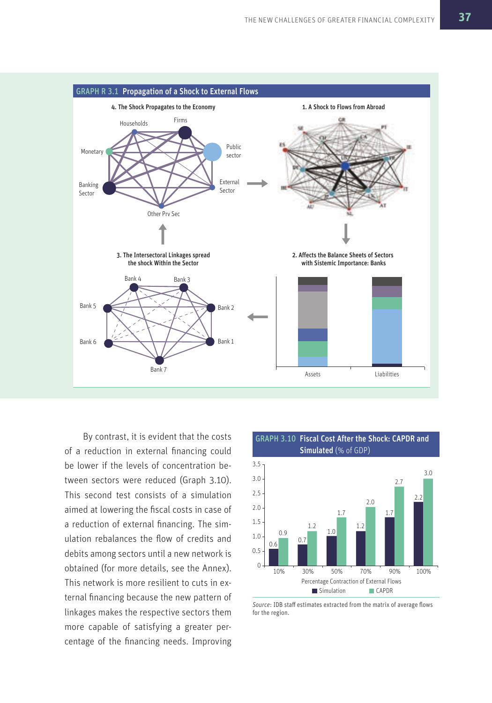

By contrast, it is evident that the costs of a reduction in external financing could be lower if the levels of concentration between sectors were reduced (Graph 3.10). This second test consists of a simulation aimed at lowering the fiscal costs in case of a reduction of external financing. The simulation rebalances the flow of credits and debits among sectors until a new network is obtained (for more details, see the Annex). This network is more resilient to cuts in external financing because the new pattern of linkages makes the respective sectors them more capable of satisfying a greater percentage of the financing needs. Improving



GRAPH 3.10 Fiscal Cost After the Shock: CAPDR and

*Source*: IDB staff estimates extracted from the matrix of average flows for the region.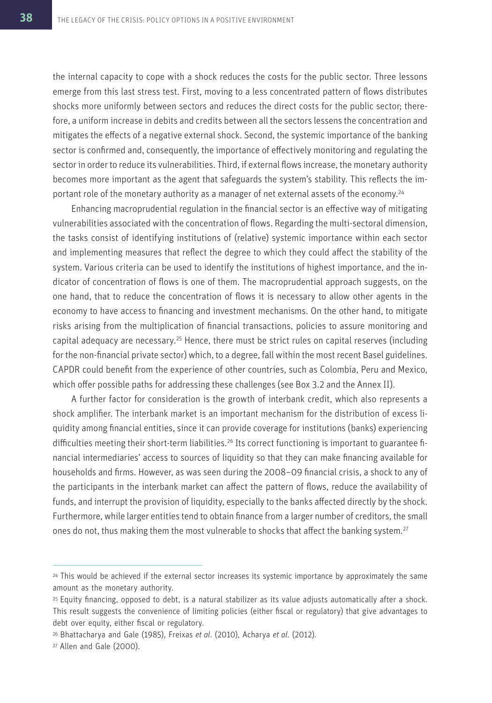the internal capacity to cope with a shock reduces the costs for the public sector. Three lessons emerge from this last stress test. First, moving to a less concentrated pattern of flows distributes shocks more uniformly between sectors and reduces the direct costs for the public sector; therefore, a uniform increase in debits and credits between all the sectors lessens the concentration and mitigates the effects of a negative external shock. Second, the systemic importance of the banking sector is confirmed and, consequently, the importance of effectively monitoring and regulating the sector in order to reduce its vulnerabilities. Third, if external flows increase, the monetary authority becomes more important as the agent that safeguards the system's stability. This reflects the important role of the monetary authority as a manager of net external assets of the economy.<sup>24</sup>

Enhancing macroprudential regulation in the financial sector is an effective way of mitigating vulnerabilities associated with the concentration of flows. Regarding the multi-sectoral dimension, the tasks consist of identifying institutions of (relative) systemic importance within each sector and implementing measures that reflect the degree to which they could affect the stability of the system. Various criteria can be used to identify the institutions of highest importance, and the indicator of concentration of flows is one of them. The macroprudential approach suggests, on the one hand, that to reduce the concentration of flows it is necessary to allow other agents in the economy to have access to financing and investment mechanisms. On the other hand, to mitigate risks arising from the multiplication of financial transactions, policies to assure monitoring and capital adequacy are necessary.<sup>25</sup> Hence, there must be strict rules on capital reserves (including for the non-financial private sector) which, to a degree, fall within the most recent Basel guidelines. CAPDR could benefit from the experience of other countries, such as Colombia, Peru and Mexico, which offer possible paths for addressing these challenges (see Box 3.2 and the Annex II).

A further factor for consideration is the growth of interbank credit, which also represents a shock amplifier. The interbank market is an important mechanism for the distribution of excess liquidity among financial entities, since it can provide coverage for institutions (banks) experiencing difficulties meeting their short-term liabilities.<sup>26</sup> Its correct functioning is important to guarantee financial intermediaries' access to sources of liquidity so that they can make financing available for households and firms. However, as was seen during the 2008–09 financial crisis, a shock to any of the participants in the interbank market can affect the pattern of flows, reduce the availability of funds, and interrupt the provision of liquidity, especially to the banks affected directly by the shock. Furthermore, while larger entities tend to obtain finance from a larger number of creditors, the small ones do not, thus making them the most vulnerable to shocks that affect the banking system.<sup>27</sup>

<sup>&</sup>lt;sup>24</sup> This would be achieved if the external sector increases its systemic importance by approximately the same amount as the monetary authority.

<sup>25</sup>Equity financing, opposed to debt, is a natural stabilizer as its value adjusts automatically after a shock. This result suggests the convenience of limiting policies (either fiscal or regulatory) that give advantages to debt over equity, either fiscal or regulatory.

<sup>26</sup>Bhattacharya and Gale (1985), Freixas *et al*. (2010), Acharya *et al*. (2012).

<sup>27</sup> Allen and Gale (2000).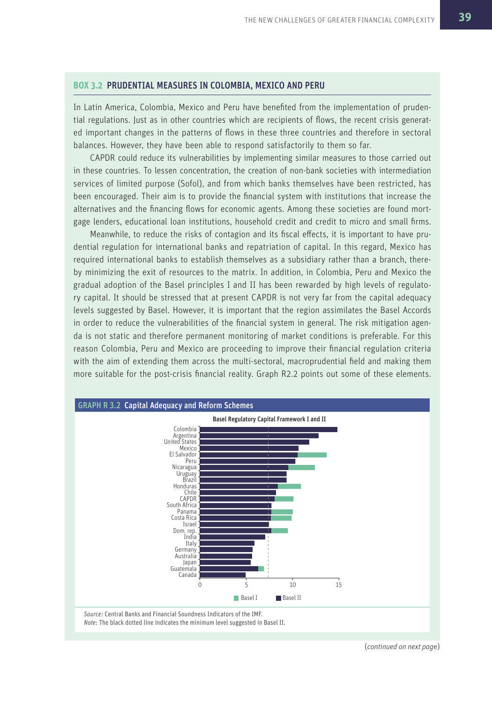### **BOX 3.2** PRUDENTIAL MEASURES IN COLOMBIA, MEXICO AND PERU

In Latin America, Colombia, Mexico and Peru have benefited from the implementation of prudential regulations. Just as in other countries which are recipients of flows, the recent crisis generated important changes in the patterns of flows in these three countries and therefore in sectoral balances. However, they have been able to respond satisfactorily to them so far.

CAPDR could reduce its vulnerabilities by implementing similar measures to those carried out in these countries. To lessen concentration, the creation of non-bank societies with intermediation services of limited purpose (Sofol), and from which banks themselves have been restricted, has been encouraged. Their aim is to provide the financial system with institutions that increase the alternatives and the financing flows for economic agents. Among these societies are found mortgage lenders, educational loan institutions, household credit and credit to micro and small firms.

Meanwhile, to reduce the risks of contagion and its fiscal effects, it is important to have prudential regulation for international banks and repatriation of capital. In this regard, Mexico has required international banks to establish themselves as a subsidiary rather than a branch, thereby minimizing the exit of resources to the matrix. In addition, in Colombia, Peru and Mexico the gradual adoption of the Basel principles I and II has been rewarded by high levels of regulatory capital. It should be stressed that at present CAPDR is not very far from the capital adequacy levels suggested by Basel. However, it is important that the region assimilates the Basel Accords in order to reduce the vulnerabilities of the financial system in general. The risk mitigation agenda is not static and therefore permanent monitoring of market conditions is preferable. For this reason Colombia, Peru and Mexico are proceeding to improve their financial regulation criteria with the aim of extending them across the multi-sectoral, macroprudential field and making them more suitable for the post-crisis financial reality. Graph R2.2 points out some of these elements.



(*continued on next pag*e)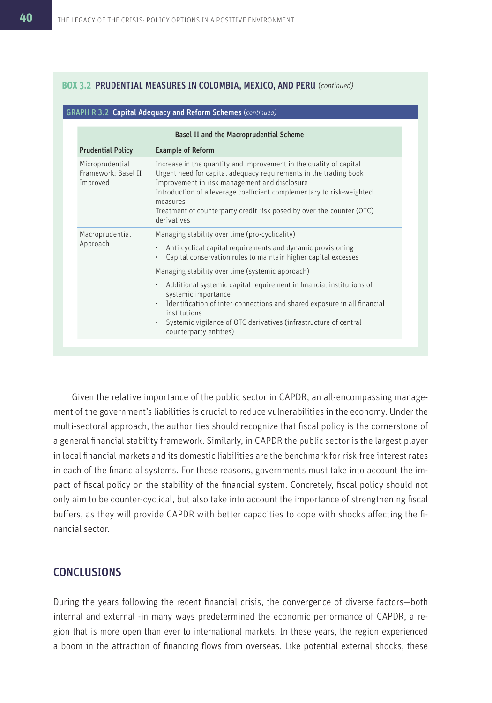### **BOX 3.2** PRUDENTIAL MEASURES IN COLOMBIA, MEXICO, AND PERU (*continued)*

### GRAPH R 3.2 Capital Adequacy and Reform Schemes (*continued)*

|                                                    | <b>Basel II and the Macroprudential Scheme</b>                                                                                                                                                                                                                                                                                                                        |
|----------------------------------------------------|-----------------------------------------------------------------------------------------------------------------------------------------------------------------------------------------------------------------------------------------------------------------------------------------------------------------------------------------------------------------------|
| <b>Prudential Policy</b>                           | <b>Example of Reform</b>                                                                                                                                                                                                                                                                                                                                              |
| Microprudential<br>Framework: Basel II<br>Improved | Increase in the quantity and improvement in the quality of capital<br>Urgent need for capital adequacy requirements in the trading book<br>Improvement in risk management and disclosure<br>Introduction of a leverage coefficient complementary to risk-weighted<br>measures<br>Treatment of counterparty credit risk posed by over-the-counter (OTC)<br>derivatives |
| Macroprudential<br>Approach                        | Managing stability over time (pro-cyclicality)                                                                                                                                                                                                                                                                                                                        |
|                                                    | Anti-cyclical capital requirements and dynamic provisioning<br>$\bullet$<br>Capital conservation rules to maintain higher capital excesses                                                                                                                                                                                                                            |
|                                                    | Managing stability over time (systemic approach)                                                                                                                                                                                                                                                                                                                      |
|                                                    | Additional systemic capital requirement in financial institutions of<br>$\bullet$<br>systemic importance<br>Identification of inter-connections and shared exposure in all financial<br>$\bullet$<br>institutions<br>Systemic vigilance of OTC derivatives (infrastructure of central<br>counterparty entities)                                                       |

Given the relative importance of the public sector in CAPDR, an all-encompassing management of the government's liabilities is crucial to reduce vulnerabilities in the economy. Under the multi-sectoral approach, the authorities should recognize that fiscal policy is the cornerstone of a general financial stability framework. Similarly, in CAPDR the public sector is the largest player in local financial markets and its domestic liabilities are the benchmark for risk-free interest rates in each of the financial systems. For these reasons, governments must take into account the impact of fiscal policy on the stability of the financial system. Concretely, fiscal policy should not only aim to be counter-cyclical, but also take into account the importance of strengthening fiscal buffers, as they will provide CAPDR with better capacities to cope with shocks affecting the financial sector.

### CONCLUSIONS

During the years following the recent financial crisis, the convergence of diverse factors—both internal and external -in many ways predetermined the economic performance of CAPDR, a region that is more open than ever to international markets. In these years, the region experienced a boom in the attraction of financing flows from overseas. Like potential external shocks, these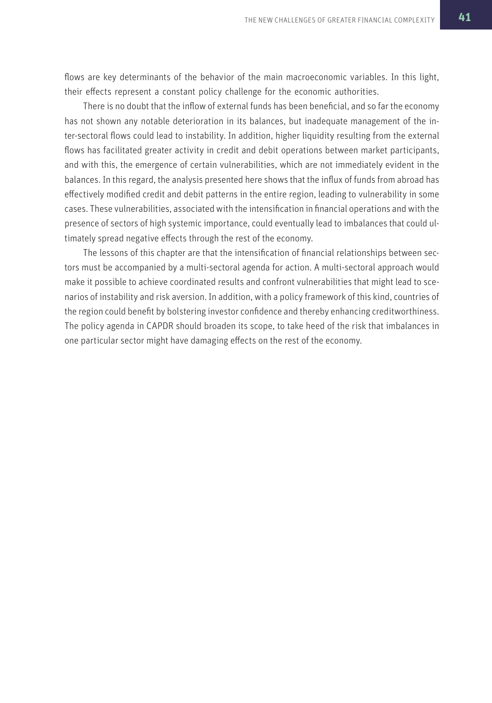flows are key determinants of the behavior of the main macroeconomic variables. In this light, their effects represent a constant policy challenge for the economic authorities.

There is no doubt that the inflow of external funds has been beneficial, and so far the economy has not shown any notable deterioration in its balances, but inadequate management of the inter-sectoral flows could lead to instability. In addition, higher liquidity resulting from the external flows has facilitated greater activity in credit and debit operations between market participants, and with this, the emergence of certain vulnerabilities, which are not immediately evident in the balances. In this regard, the analysis presented here shows that the influx of funds from abroad has effectively modified credit and debit patterns in the entire region, leading to vulnerability in some cases. These vulnerabilities, associated with the intensification in financial operations and with the presence of sectors of high systemic importance, could eventually lead to imbalances that could ultimately spread negative effects through the rest of the economy.

The lessons of this chapter are that the intensification of financial relationships between sectors must be accompanied by a multi-sectoral agenda for action. A multi-sectoral approach would make it possible to achieve coordinated results and confront vulnerabilities that might lead to scenarios of instability and risk aversion. In addition, with a policy framework of this kind, countries of the region could benefit by bolstering investor confidence and thereby enhancing creditworthiness. The policy agenda in CAPDR should broaden its scope, to take heed of the risk that imbalances in one particular sector might have damaging effects on the rest of the economy.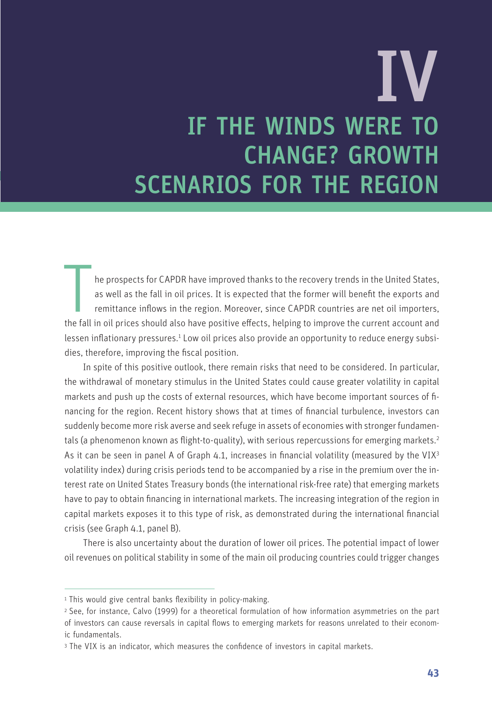# IF THE WINDS WERE TO CHANGE? GROWTH SCENARIOS FOR THE REGION IV

the prospects for CAPDR have improved thanks to the recovery trends in the United States, as well as the fall in oil prices. It is expected that the former will benefit the exports and remittance inflows in the region. Mor he prospects for CAPDR have improved thanks to the recovery trends in the United States, as well as the fall in oil prices. It is expected that the former will benefit the exports and remittance inflows in the region. Moreover, since CAPDR countries are net oil importers, lessen inflationary pressures.<sup>1</sup> Low oil prices also provide an opportunity to reduce energy subsidies, therefore, improving the fiscal position.

In spite of this positive outlook, there remain risks that need to be considered. In particular, the withdrawal of monetary stimulus in the United States could cause greater volatility in capital markets and push up the costs of external resources, which have become important sources of financing for the region. Recent history shows that at times of financial turbulence, investors can suddenly become more risk averse and seek refuge in assets of economies with stronger fundamentals (a phenomenon known as flight-to-quality), with serious repercussions for emerging markets.<sup>2</sup> As it can be seen in panel A of Graph 4.1, increases in financial volatility (measured by the VIX<sup>3</sup> volatility index) during crisis periods tend to be accompanied by a rise in the premium over the interest rate on United States Treasury bonds (the international risk-free rate) that emerging markets have to pay to obtain financing in international markets. The increasing integration of the region in capital markets exposes it to this type of risk, as demonstrated during the international financial crisis (see Graph 4.1, panel B).

There is also uncertainty about the duration of lower oil prices. The potential impact of lower oil revenues on political stability in some of the main oil producing countries could trigger changes

<sup>&</sup>lt;sup>1</sup> This would give central banks flexibility in policy-making.

<sup>2</sup>See, for instance, Calvo (1999) for a theoretical formulation of how information asymmetries on the part of investors can cause reversals in capital flows to emerging markets for reasons unrelated to their economic fundamentals.

<sup>3</sup> The VIX is an indicator, which measures the confidence of investors in capital markets.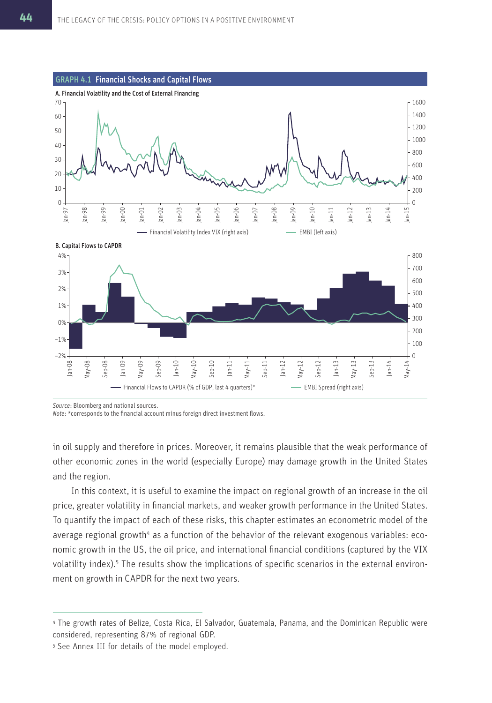

*Source*: Bloomberg and national sources.

*Note*: \*corresponds to the financial account minus foreign direct investment flows.

in oil supply and therefore in prices. Moreover, it remains plausible that the weak performance of other economic zones in the world (especially Europe) may damage growth in the United States and the region.

In this context, it is useful to examine the impact on regional growth of an increase in the oil price, greater volatility in financial markets, and weaker growth performance in the United States. To quantify the impact of each of these risks, this chapter estimates an econometric model of the average regional growth<sup>4</sup> as a function of the behavior of the relevant exogenous variables: economic growth in the US, the oil price, and international financial conditions (captured by the VIX volatility index).<sup>5</sup> The results show the implications of specific scenarios in the external environment on growth in CAPDR for the next two years.

<sup>4</sup>The growth rates of Belize, Costa Rica, El Salvador, Guatemala, Panama, and the Dominican Republic were considered, representing 87% of regional GDP.

<sup>5</sup> See Annex III for details of the model employed.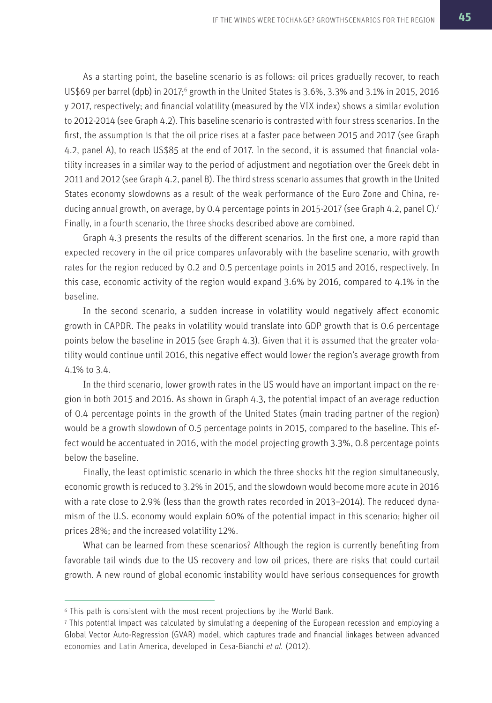As a starting point, the baseline scenario is as follows: oil prices gradually recover, to reach US\$69 per barrel (dpb) in 2017;<sup>6</sup> growth in the United States is 3.6%, 3.3% and 3.1% in 2015, 2016 y 2017, respectively; and financial volatility (measured by the VIX index) shows a similar evolution to 2012-2014 (see Graph 4.2). This baseline scenario is contrasted with four stress scenarios. In the first, the assumption is that the oil price rises at a faster pace between 2015 and 2017 (see Graph 4.2, panel A), to reach US\$85 at the end of 2017. In the second, it is assumed that financial volatility increases in a similar way to the period of adjustment and negotiation over the Greek debt in 2011 and 2012 (see Graph 4.2, panel B). The third stress scenario assumes that growth in the United States economy slowdowns as a result of the weak performance of the Euro Zone and China, reducing annual growth, on average, by 0.4 percentage points in 2015-2017 (see Graph 4.2, panel C).<sup>7</sup> Finally, in a fourth scenario, the three shocks described above are combined.

Graph 4.3 presents the results of the different scenarios. In the first one, a more rapid than expected recovery in the oil price compares unfavorably with the baseline scenario, with growth rates for the region reduced by 0.2 and 0.5 percentage points in 2015 and 2016, respectively. In this case, economic activity of the region would expand 3.6% by 2016, compared to 4.1% in the baseline.

In the second scenario, a sudden increase in volatility would negatively affect economic growth in CAPDR. The peaks in volatility would translate into GDP growth that is 0.6 percentage points below the baseline in 2015 (see Graph 4.3). Given that it is assumed that the greater volatility would continue until 2016, this negative effect would lower the region's average growth from 4.1% to 3.4.

In the third scenario, lower growth rates in the US would have an important impact on the region in both 2015 and 2016. As shown in Graph 4.3, the potential impact of an average reduction of 0.4 percentage points in the growth of the United States (main trading partner of the region) would be a growth slowdown of 0.5 percentage points in 2015, compared to the baseline. This effect would be accentuated in 2016, with the model projecting growth 3.3%, 0.8 percentage points below the baseline.

Finally, the least optimistic scenario in which the three shocks hit the region simultaneously, economic growth is reduced to 3.2% in 2015, and the slowdown would become more acute in 2016 with a rate close to 2.9% (less than the growth rates recorded in 2013–2014). The reduced dynamism of the U.S. economy would explain 60% of the potential impact in this scenario; higher oil prices 28%; and the increased volatility 12%.

What can be learned from these scenarios? Although the region is currently benefiting from favorable tail winds due to the US recovery and low oil prices, there are risks that could curtail growth. A new round of global economic instability would have serious consequences for growth

<sup>6</sup>This path is consistent with the most recent projections by the World Bank.

<sup>7</sup>This potential impact was calculated by simulating a deepening of the European recession and employing a Global Vector Auto-Regression (GVAR) model, which captures trade and financial linkages between advanced economies and Latin America, developed in Cesa-Bianchi *et al.* (2012).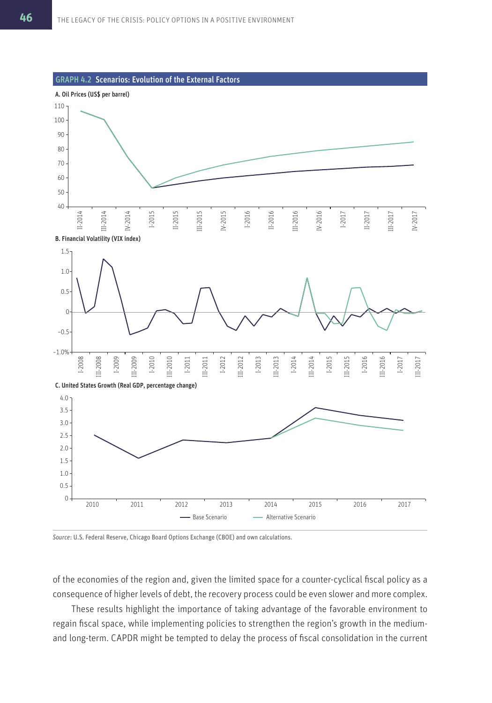

*Source*: U.S. Federal Reserve, Chicago Board Options Exchange (CBOE) and own calculations.

of the economies of the region and, given the limited space for a counter-cyclical fiscal policy as a consequence of higher levels of debt, the recovery process could be even slower and more complex.

These results highlight the importance of taking advantage of the favorable environment to regain fiscal space, while implementing policies to strengthen the region's growth in the mediumand long-term. CAPDR might be tempted to delay the process of fiscal consolidation in the current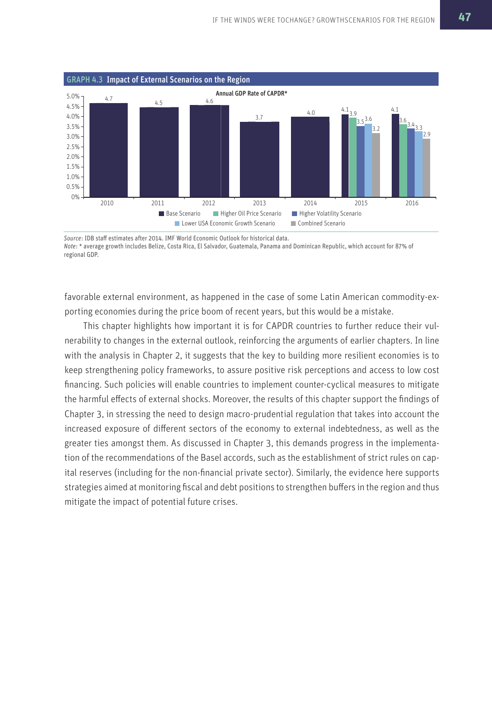

*Source*: IDB staff estimates after 2014. IMF World Economic Outlook for historical data. *Note*: \* average growth includes Belize, Costa Rica, El Salvador, Guatemala, Panama and Dominican Republic, which account for 87% of regional GDP.

favorable external environment, as happened in the case of some Latin American commodity-exporting economies during the price boom of recent years, but this would be a mistake.

This chapter highlights how important it is for CAPDR countries to further reduce their vulnerability to changes in the external outlook, reinforcing the arguments of earlier chapters. In line with the analysis in Chapter 2, it suggests that the key to building more resilient economies is to keep strengthening policy frameworks, to assure positive risk perceptions and access to low cost financing. Such policies will enable countries to implement counter-cyclical measures to mitigate the harmful effects of external shocks. Moreover, the results of this chapter support the findings of Chapter 3, in stressing the need to design macro-prudential regulation that takes into account the increased exposure of different sectors of the economy to external indebtedness, as well as the greater ties amongst them. As discussed in Chapter 3, this demands progress in the implementation of the recommendations of the Basel accords, such as the establishment of strict rules on capital reserves (including for the non-financial private sector). Similarly, the evidence here supports strategies aimed at monitoring fiscal and debt positions to strengthen buffers in the region and thus mitigate the impact of potential future crises.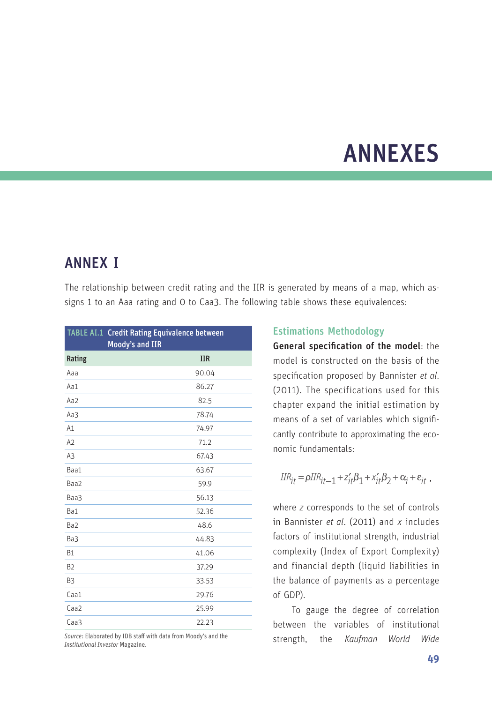## ANNEXES

## ANNEX I

The relationship between credit rating and the IIR is generated by means of a map, which assigns 1 to an Aaa rating and 0 to Caa3. The following table shows these equivalences:

|                 | TABLE AI.1 Credit Rating Equivalence between<br>Moody's and IIR |
|-----------------|-----------------------------------------------------------------|
| Rating          | <b>IIR</b>                                                      |
| Aaa             | 90.04                                                           |
| Aa1             | 86.27                                                           |
| Aa2             | 82.5                                                            |
| Aa3             | 78.74                                                           |
| A1              | 74.97                                                           |
| A2              | 71.2                                                            |
| A <sub>3</sub>  | 67.43                                                           |
| Baa1            | 63.67                                                           |
| Baa2            | 59.9                                                            |
| Baa3            | 56.13                                                           |
| Ba1             | 52.36                                                           |
| Ba <sub>2</sub> | 48.6                                                            |
| Ba3             | 44.83                                                           |
| <b>B1</b>       | 41.06                                                           |
| <b>B2</b>       | 37.29                                                           |
| B3              | 33.53                                                           |
| Caa1            | 29.76                                                           |
| Caa2            | 25.99                                                           |
| Caa3            | 22.23                                                           |

*Source*: Elaborated by IDB staff with data from Moody's and the *Institutional Investor* Magazine*.*

### Estimations Methodology

General specification of the model: the model is constructed on the basis of the specification proposed by Bannister *et al*. (2011). The specifications used for this chapter expand the initial estimation by means of a set of variables which significantly contribute to approximating the economic fundamentals:

$$
IIR_{it} = \rho IIR_{it-1} + z_{it}'\beta_1 + x_{it}'\beta_2 + \alpha_i + \varepsilon_{it} ,
$$

where *z* corresponds to the set of controls in Bannister *et al*. (2011) and *x* includes factors of institutional strength, industrial complexity (Index of Export Complexity) and financial depth (liquid liabilities in the balance of payments as a percentage of GDP).

To gauge the degree of correlation between the variables of institutional strength, the *Kaufman World Wide*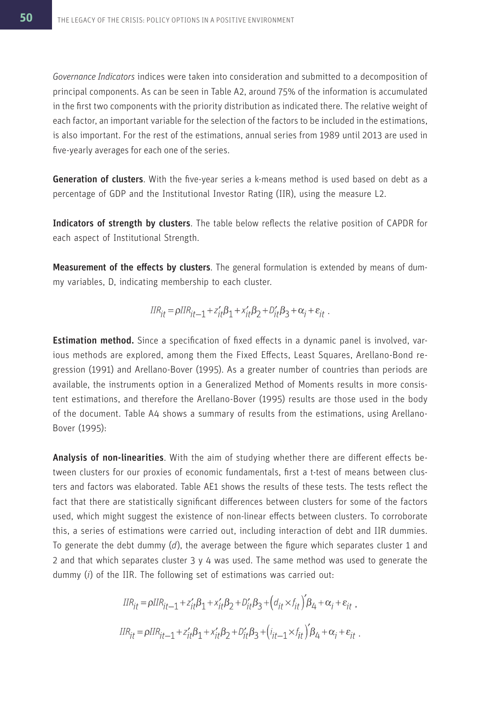*Governance Indicators* indices were taken into consideration and submitted to a decomposition of principal components. As can be seen in Table A2, around 75% of the information is accumulated in the first two components with the priority distribution as indicated there. The relative weight of each factor, an important variable for the selection of the factors to be included in the estimations, is also important. For the rest of the estimations, annual series from 1989 until 2013 are used in five-yearly averages for each one of the series.

Generation of clusters. With the five-year series a k-means method is used based on debt as a percentage of GDP and the Institutional Investor Rating (IIR), using the measure L2.

Indicators of strength by clusters. The table below reflects the relative position of CAPDR for each aspect of Institutional Strength.

Measurement of the effects by clusters. The general formulation is extended by means of dummy variables, D, indicating membership to each cluster.

$$
IIR_{it} = \rho IIR_{it-1} + z_{it}'\beta_1 + x_{it}'\beta_2 + D_{it}'\beta_3 + \alpha_i + \varepsilon_{it}.
$$

**Estimation method.** Since a specification of fixed effects in a dynamic panel is involved, various methods are explored, among them the Fixed Effects, Least Squares, Arellano-Bond regression (1991) and Arellano-Bover (1995). As a greater number of countries than periods are available, the instruments option in a Generalized Method of Moments results in more consistent estimations, and therefore the Arellano-Bover (1995) results are those used in the body of the document. Table A4 shows a summary of results from the estimations, using Arellano-Bover (1995):

Analysis of non-linearities. With the aim of studying whether there are different effects between clusters for our proxies of economic fundamentals, first a t-test of means between clusters and factors was elaborated. Table AE1 shows the results of these tests. The tests reflect the fact that there are statistically significant differences between clusters for some of the factors used, which might suggest the existence of non-linear effects between clusters. To corroborate this, a series of estimations were carried out, including interaction of debt and IIR dummies. To generate the debt dummy (*d*), the average between the figure which separates cluster 1 and 2 and that which separates cluster 3 y 4 was used. The same method was used to generate the dummy (*i*) of the IIR. The following set of estimations was carried out:

$$
IIR_{it} = \rho IIR_{it-1} + z_{it}'\beta_1 + x_{it}'\beta_2 + D_{it}'\beta_3 + (d_{it} \times f_{it})'\beta_4 + \alpha_i + \varepsilon_{it} ,
$$
  
\n
$$
IIR_{it} = \rho IIR_{it-1} + z_{it}'\beta_1 + x_{it}'\beta_2 + D_{it}'\beta_3 + (i_{it-1} \times f_{it})'\beta_4 + \alpha_i + \varepsilon_{it} .
$$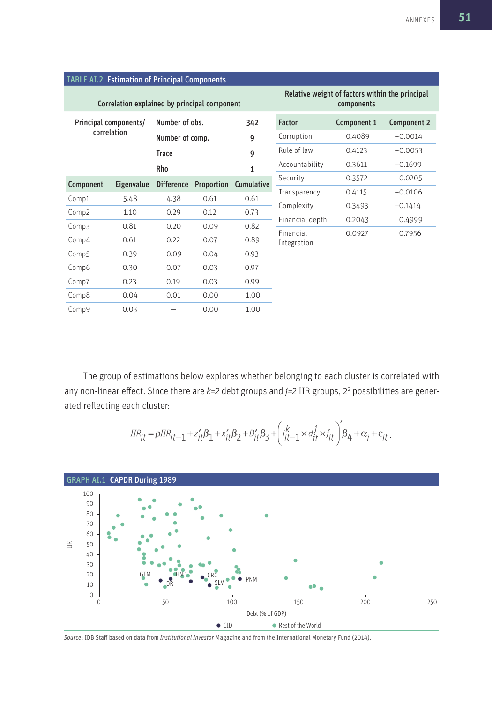|                                      | TABLE AI.2 Estimation of Principal Components |                                 |                                                               |              |                 |             |             |  |
|--------------------------------------|-----------------------------------------------|---------------------------------|---------------------------------------------------------------|--------------|-----------------|-------------|-------------|--|
|                                      | Correlation explained by principal component  |                                 | Relative weight of factors within the principal<br>components |              |                 |             |             |  |
| Principal components/<br>correlation |                                               | Number of obs.                  |                                                               | 342          | <b>Factor</b>   | Component 1 | Component 2 |  |
|                                      |                                               | Number of comp.                 |                                                               | 9            | Corruption      | 0.4089      | $-0.0014$   |  |
|                                      |                                               | <b>Trace</b>                    |                                                               | 9            | Rule of law     | 0.4123      | $-0.0053$   |  |
|                                      |                                               | Rho                             |                                                               | $\mathbf{1}$ | Accountability  | 0.3611      | $-0.1699$   |  |
| Component                            | Eigenvalue                                    | Proportion<br><b>Difference</b> |                                                               | Cumulative   | Security        | 0.3572      | 0.0205      |  |
| Comp1                                | 5.48                                          | 4.38                            | 0.61                                                          | 0.61         | Transparency    | 0.4115      | $-0.0106$   |  |
| Comp2                                | 1.10                                          | 0.29                            | 0.12                                                          | 0.73         | Complexity      | 0.3493      | $-0.1414$   |  |
| Comp3                                | 0.81                                          | 0.20                            | 0.09                                                          | 0.82         | Financial depth | 0.2043      | 0.4999      |  |
|                                      |                                               |                                 |                                                               |              | Financial       | 0.0927      | 0.7956      |  |
| Comp4                                | 0.61                                          | 0.22                            | 0.07                                                          | 0.89         | Integration     |             |             |  |
| Comp5                                | 0.39                                          | 0.09                            | 0.04                                                          | 0.93         |                 |             |             |  |
| Comp6                                | 0.30                                          | 0.07                            | 0.03                                                          | 0.97         |                 |             |             |  |
| Comp7                                | 0.23                                          | 0.19                            | 0.03                                                          | 0.99         |                 |             |             |  |
| Comp8                                | 0.04                                          | 0.01                            | 0.00                                                          | 1.00         |                 |             |             |  |
| Comp9                                | 0.03                                          |                                 | 0.00                                                          | 1.00         |                 |             |             |  |
|                                      |                                               |                                 |                                                               |              |                 |             |             |  |

The group of estimations below explores whether belonging to each cluster is correlated with any non-linear effect. Since there are *k=2* debt groups and *j=2* IIR groups, 2<sup>2</sup> possibilities are generated reflecting each cluster:

$$
\label{eq:IR} I\!IR_{it} \!=\! \rho I\!IR_{it-1} + z_{it}'\beta_1 + x_{it}'\beta_2 + D_{it}'\beta_3 + \left(i_{it-1}^k\!\times\!d_{it}^j\!\times\!f_{it}\right)\!\!\not\!\beta_4 + \alpha_i + \varepsilon_{it} \,.
$$



*Source*: IDB Staff based on data from *Institutional Investor* Magazine and from the International Monetary Fund (2014).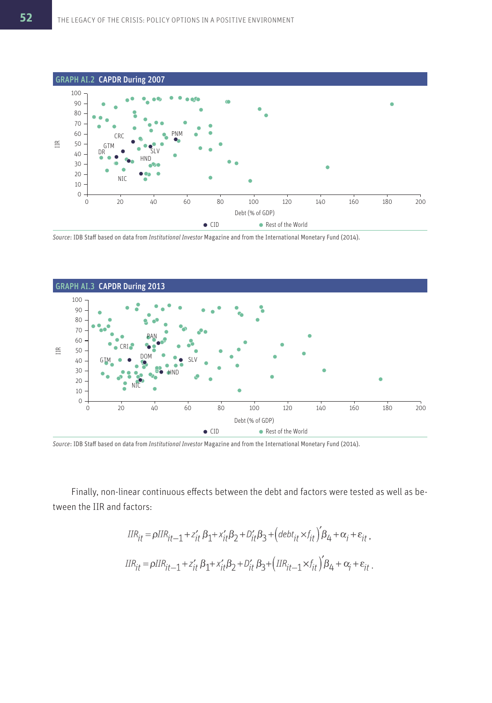

*Source*: IDB Staff based on data from *Institutional Investor* Magazine and from the International Monetary Fund (2014).



*Source*: IDB Staff based on data from *Institutional Investor* Magazine and from the International Monetary Fund (2014).

Finally, non-linear continuous effects between the debt and factors were tested as well as between the IIR and factors:

$$
IIR_{it} = \rho IIR_{it-1} + z_{it}' B_1 + x_{it}' B_2 + D_{it}' B_3 + (\text{debt}_{it} \times f_{it})' B_4 + \alpha_i + \varepsilon_{it},
$$
  

$$
IIR_{it} = \rho IIR_{it-1} + z_{it}' B_1 + x_{it}' B_2 + D_{it}' B_3 + (\text{IIR}_{it-1} \times f_{it})' B_4 + \alpha_i + \varepsilon_{it}.
$$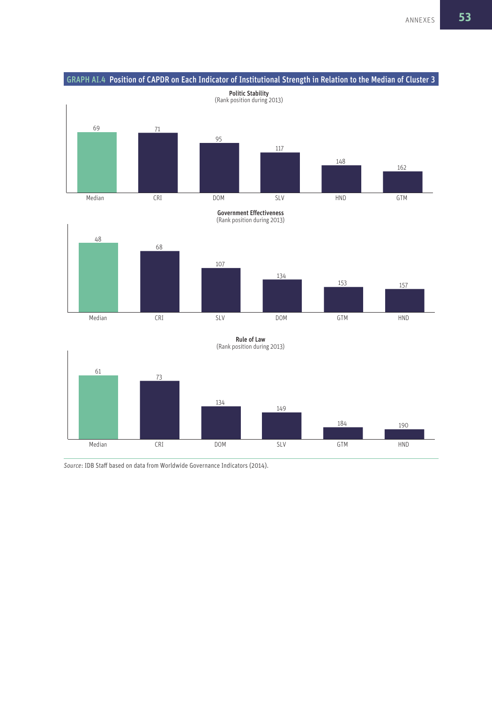



Government Effectiveness (Rank position during 2013)





*Source*: IDB Staff based on data from Worldwide Governance Indicators (2014).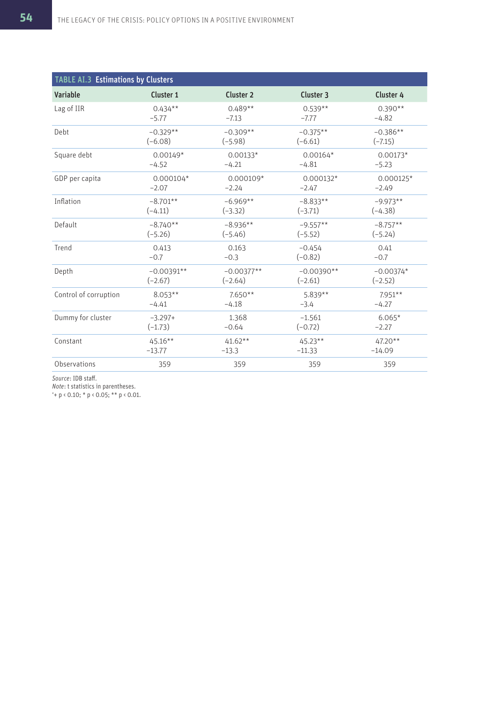| TABLE AI.3 Estimations by Clusters |              |                      |              |             |  |  |  |  |
|------------------------------------|--------------|----------------------|--------------|-------------|--|--|--|--|
| Variable                           | Cluster 1    | Cluster <sub>2</sub> | Cluster 3    | Cluster 4   |  |  |  |  |
| Lag of IIR                         | $0.434**$    | $0.489**$            | $0.539**$    | $0.390**$   |  |  |  |  |
|                                    | $-5.77$      | $-7.13$              | $-7.77$      | $-4.82$     |  |  |  |  |
| Debt                               | $-0.329**$   | $-0.309**$           | $-0.375**$   | $-0.386**$  |  |  |  |  |
|                                    | $(-6.08)$    | $(-5.98)$            | $(-6.61)$    | $(-7.15)$   |  |  |  |  |
| Square debt                        | $0.00149*$   | $0.00133*$           | $0.00164*$   | $0.00173*$  |  |  |  |  |
|                                    | $-4.52$      | $-4.21$              | $-4.81$      | $-5.23$     |  |  |  |  |
| GDP per capita                     | $0.000104*$  | $0.000109*$          | $0.000132*$  | $0.000125*$ |  |  |  |  |
|                                    | $-2.07$      | $-2.24$              | $-2.47$      | $-2.49$     |  |  |  |  |
| Inflation                          | $-8.701**$   | $-6.969**$           | $-8.833**$   | $-9.973**$  |  |  |  |  |
|                                    | $(-4.11)$    | $(-3.32)$            | $(-3.71)$    | $(-4.38)$   |  |  |  |  |
| Default                            | $-8.740**$   | $-8.936**$           | $-9.557**$   | $-8.757**$  |  |  |  |  |
|                                    | $(-5.26)$    | $(-5.46)$            | $(-5.52)$    | $(-5.24)$   |  |  |  |  |
| Trend                              | 0.413        | 0.163                | $-0.454$     | 0.41        |  |  |  |  |
|                                    | $-0.7$       | $-0.3$               | $(-0.82)$    | $-0.7$      |  |  |  |  |
| Depth                              | $-0.00391**$ | $-0.00377**$         | $-0.00390**$ | $-0.00374*$ |  |  |  |  |
|                                    | $(-2.67)$    | $(-2.64)$            | $(-2.61)$    | $(-2.52)$   |  |  |  |  |
| Control of corruption              | $8.053**$    | $7.650**$            | $5.839**$    | $7.951**$   |  |  |  |  |
|                                    | $-4.41$      | $-4.18$              | $-3.4$       | $-4.27$     |  |  |  |  |
| Dummy for cluster                  | $-3.297+$    | 1.368                | $-1.561$     | $6.065*$    |  |  |  |  |
|                                    | $(-1.73)$    | $-0.64$              | $(-0.72)$    | $-2.27$     |  |  |  |  |
| Constant                           | $45.16**$    | $41.62**$            | $45.23**$    | 47.20**     |  |  |  |  |
|                                    | $-13.77$     | $-13.3$              | $-11.33$     | $-14.09$    |  |  |  |  |
| Observations                       | 359          | 359                  | 359          | 359         |  |  |  |  |

*Source*: IDB staff.

*Note*: t statistics in parentheses.

'+ p < 0.10; \* p < 0.05; \*\* p < 0.01.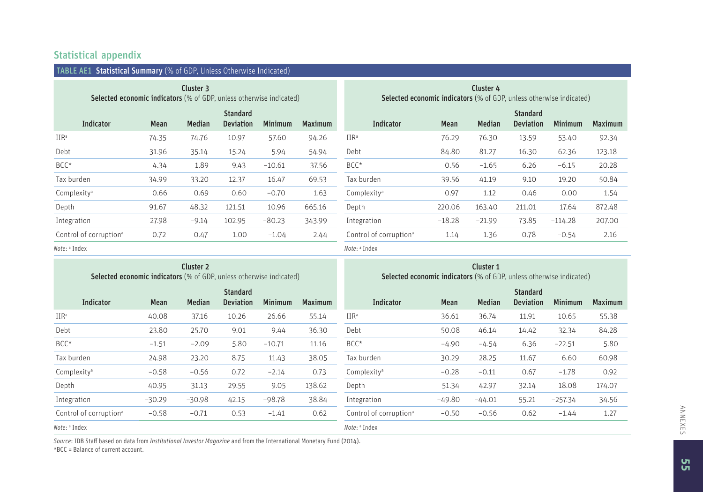### Statistical appendix

| <b>TABLE AE1</b>                                                                        | <b>Statistical Summary</b> (% of GDP, Unless Otherwise Indicated) |               |                                     |                |                                                                                         |                                    |          |               |                                     |                |                |
|-----------------------------------------------------------------------------------------|-------------------------------------------------------------------|---------------|-------------------------------------|----------------|-----------------------------------------------------------------------------------------|------------------------------------|----------|---------------|-------------------------------------|----------------|----------------|
| Cluster 3<br><b>Selected economic indicators</b> (% of GDP, unless otherwise indicated) |                                                                   |               |                                     |                | Cluster 4<br><b>Selected economic indicators</b> (% of GDP, unless otherwise indicated) |                                    |          |               |                                     |                |                |
| Indicator                                                                               | Mean                                                              | <b>Median</b> | <b>Standard</b><br><b>Deviation</b> | <b>Minimum</b> | <b>Maximum</b>                                                                          | <b>Indicator</b>                   | Mean     | <b>Median</b> | <b>Standard</b><br><b>Deviation</b> | <b>Minimum</b> | <b>Maximum</b> |
| $IIR^a$                                                                                 | 74.35                                                             | 74.76         | 10.97                               | 57.60          | 94.26                                                                                   | $\text{IIR}^{\text{a}}$            | 76.29    | 76.30         | 13.59                               | 53.40          | 92.34          |
| Debt                                                                                    | 31.96                                                             | 35.14         | 15.24                               | 5.94           | 54.94                                                                                   | Debt                               | 84.80    | 81.27         | 16.30                               | 62.36          | 123.18         |
| BCC*                                                                                    | 4.34                                                              | 1.89          | 9.43                                | $-10.61$       | 37.56                                                                                   | BCC*                               | 0.56     | $-1.65$       | 6.26                                | $-6.15$        | 20.28          |
| Tax burden                                                                              | 34.99                                                             | 33.20         | 12.37                               | 16.47          | 69.53                                                                                   | Tax burden                         | 39.56    | 41.19         | 9.10                                | 19.20          | 50.84          |
| Complexity <sup>a</sup>                                                                 | 0.66                                                              | 0.69          | 0.60                                | $-0.70$        | 1.63                                                                                    | Complexity <sup>a</sup>            | 0.97     | 1.12          | 0.46                                | 0.00           | 1.54           |
| Depth                                                                                   | 91.67                                                             | 48.32         | 121.51                              | 10.96          | 665.16                                                                                  | Depth                              | 220.06   | 163.40        | 211.01                              | 17.64          | 872.48         |
| Integration                                                                             | 27.98                                                             | $-9.14$       | 102.95                              | $-80.23$       | 343.99                                                                                  | Integration                        | $-18.28$ | $-21.99$      | 73.85                               | $-114.28$      | 207.00         |
| Control of corruption <sup>a</sup>                                                      | 0.72                                                              | 0.47          | 1.00                                | $-1.04$        | 2.44                                                                                    | Control of corruption <sup>a</sup> | 1.14     | 1.36          | 0.78                                | $-0.54$        | 2.16           |
| .                                                                                       |                                                                   |               |                                     |                |                                                                                         | .                                  |          |               |                                     |                |                |

*Note*: <sup>a</sup> Index

*Note*: <sup>a</sup> Index

| Cluster <sub>2</sub><br><b>Selected economic indicators</b> (% of GDP, unless otherwise indicated) |             |               |                                     | Cluster 1<br><b>Selected economic indicators</b> (% of GDP, unless otherwise indicated) |                |                                    |             |               |                                     |                |                |
|----------------------------------------------------------------------------------------------------|-------------|---------------|-------------------------------------|-----------------------------------------------------------------------------------------|----------------|------------------------------------|-------------|---------------|-------------------------------------|----------------|----------------|
| Indicator                                                                                          | <b>Mean</b> | <b>Median</b> | <b>Standard</b><br><b>Deviation</b> | <b>Minimum</b>                                                                          | <b>Maximum</b> | <b>Indicator</b>                   | <b>Mean</b> | <b>Median</b> | <b>Standard</b><br><b>Deviation</b> | <b>Minimum</b> | <b>Maximum</b> |
| $IIR^a$                                                                                            | 40.08       | 37.16         | 10.26                               | 26.66                                                                                   | 55.14          | $IIR^a$                            | 36.61       | 36.74         | 11.91                               | 10.65          | 55.38          |
| Debt                                                                                               | 23.80       | 25.70         | 9.01                                | 9.44                                                                                    | 36.30          | Debt                               | 50.08       | 46.14         | 14.42                               | 32.34          | 84.28          |
| BCC*                                                                                               | $-1.51$     | $-2.09$       | 5.80                                | $-10.71$                                                                                | 11.16          | $BCC^*$                            | $-4.90$     | $-4.54$       | 6.36                                | $-22.51$       | 5.80           |
| Tax burden                                                                                         | 24.98       | 23.20         | 8.75                                | 11.43                                                                                   | 38.05          | Tax burden                         | 30.29       | 28.25         | 11.67                               | 6.60           | 60.98          |
| Complexity <sup>a</sup>                                                                            | $-0.58$     | $-0.56$       | 0.72                                | $-2.14$                                                                                 | 0.73           | Complexity <sup>a</sup>            | $-0.28$     | $-0.11$       | 0.67                                | $-1.78$        | 0.92           |
| Depth                                                                                              | 40.95       | 31.13         | 29.55                               | 9.05                                                                                    | 138.62         | Depth                              | 51.34       | 42.97         | 32.14                               | 18.08          | 174.07         |
| Integration                                                                                        | $-30.29$    | $-30.98$      | 42.15                               | $-98.78$                                                                                | 38.84          | Integration                        | $-49.80$    | $-44.01$      | 55.21                               | $-257.34$      | 34.56          |
| Control of corruption <sup>a</sup>                                                                 | $-0.58$     | $-0.71$       | 0.53                                | $-1.41$                                                                                 | 0.62           | Control of corruption <sup>a</sup> | $-0.50$     | $-0.56$       | 0.62                                | $-1.44$        | 1.27           |
| Note: <sup>a</sup> Index                                                                           |             |               |                                     |                                                                                         |                | Note: <sup>a</sup> Index           |             |               |                                     |                |                |

*Source*: IDB Staff based on data from *Institutional Investor Magazine* and from the International Monetary Fund (2014). \*BCC = Balance of current account.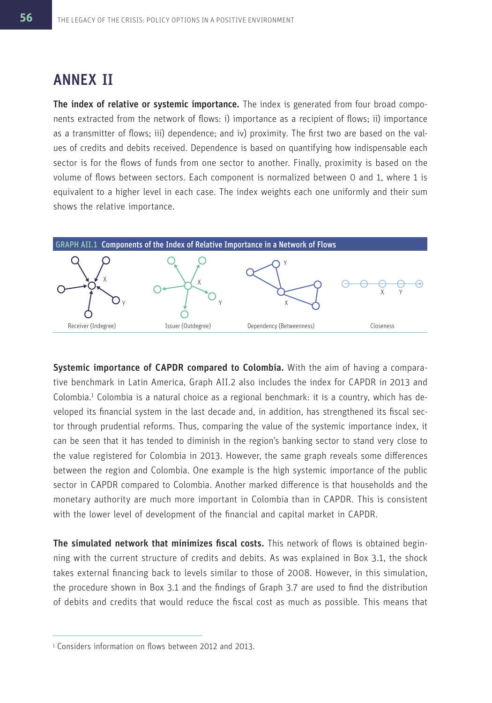## ANNEX II

The index of relative or systemic importance. The index is generated from four broad components extracted from the network of flows: i) importance as a recipient of flows; ii) importance as a transmitter of flows; iii) dependence; and iv) proximity. The first two are based on the values of credits and debits received. Dependence is based on quantifying how indispensable each sector is for the flows of funds from one sector to another. Finally, proximity is based on the volume of flows between sectors. Each component is normalized between 0 and 1, where 1 is equivalent to a higher level in each case. The index weights each one uniformly and their sum shows the relative importance.



Systemic importance of CAPDR compared to Colombia. With the aim of having a comparative benchmark in Latin America, Graph AII.2 also includes the index for CAPDR in 2013 and Colombia.<sup>1</sup> Colombia is a natural choice as a regional benchmark: it is a country, which has developed its financial system in the last decade and, in addition, has strengthened its fiscal sector through prudential reforms. Thus, comparing the value of the systemic importance index, it can be seen that it has tended to diminish in the region's banking sector to stand very close to the value registered for Colombia in 2013. However, the same graph reveals some differences between the region and Colombia. One example is the high systemic importance of the public sector in CAPDR compared to Colombia. Another marked difference is that households and the monetary authority are much more important in Colombia than in CAPDR. This is consistent with the lower level of development of the financial and capital market in CAPDR.

The simulated network that minimizes fiscal costs. This network of flows is obtained beginning with the current structure of credits and debits. As was explained in Box 3.1, the shock takes external financing back to levels similar to those of 2008. However, in this simulation, the procedure shown in Box 3.1 and the findings of Graph 3.7 are used to find the distribution of debits and credits that would reduce the fiscal cost as much as possible. This means that

<sup>1</sup> Considers information on flows between 2012 and 2013.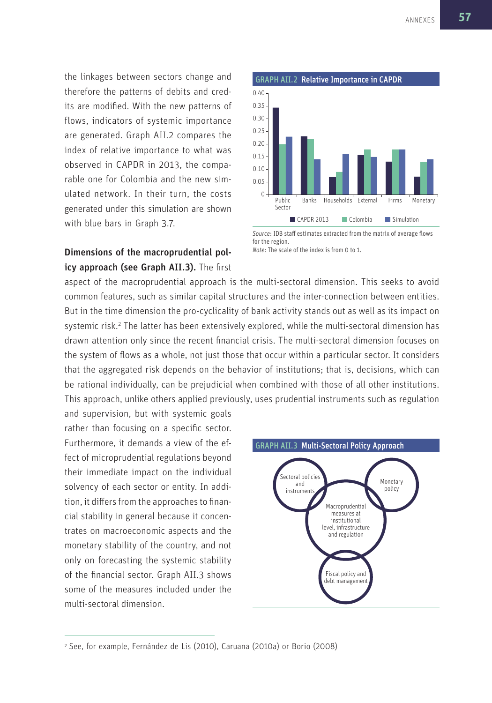the linkages between sectors change and therefore the patterns of debits and credits are modified. With the new patterns of flows, indicators of systemic importance are generated. Graph AII.2 compares the index of relative importance to what was observed in CAPDR in 2013, the comparable one for Colombia and the new simulated network. In their turn, the costs generated under this simulation are shown with blue bars in Graph 3.7.

### Dimensions of the macroprudential policy approach (see Graph AII.3). The first



*Source*: IDB staff estimates extracted from the matrix of average flows for the region. *Note*: The scale of the index is from 0 to 1.

aspect of the macroprudential approach is the multi-sectoral dimension. This seeks to avoid common features, such as similar capital structures and the inter-connection between entities. But in the time dimension the pro-cyclicality of bank activity stands out as well as its impact on systemic risk.<sup>2</sup> The latter has been extensively explored, while the multi-sectoral dimension has drawn attention only since the recent financial crisis. The multi-sectoral dimension focuses on the system of flows as a whole, not just those that occur within a particular sector. It considers that the aggregated risk depends on the behavior of institutions; that is, decisions, which can be rational individually, can be prejudicial when combined with those of all other institutions. This approach, unlike others applied previously, uses prudential instruments such as regulation

and supervision, but with systemic goals rather than focusing on a specific sector. Furthermore, it demands a view of the effect of microprudential regulations beyond their immediate impact on the individual solvency of each sector or entity. In addition, it differs from the approaches to financial stability in general because it concentrates on macroeconomic aspects and the monetary stability of the country, and not only on forecasting the systemic stability of the financial sector. Graph AII.3 shows some of the measures included under the multi-sectoral dimension.



<sup>2</sup> See, for example, Fernández de Lis (2010), Caruana (2010a) or Borio (2008)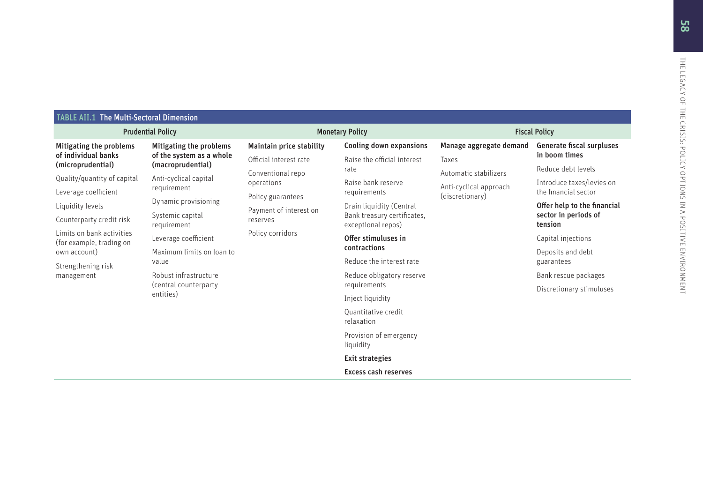TABLE ATL: The Multissectoral Dimension<br>
Multiparting the problems Minigrating the problems Minigrating the problems Minigrating the problems Minigrating the problems Minigrating the problems Minigrating the problems Mini

Quantitative credit relaxation

Provision of emergency liquidity

Exit strategies

Excess cash reserves

Taxes

Automatic stabilizersAnti-cyclical approach (discretionary)

Manage aggregate demandGenerate fiscal surpluses in boom times

> Reduce debt levelsIntroduce taxes/levies on the financial sector

Offer help to the financial sector in periods of tension

Capital injections

Deposits and debt guarantees

Bank rescue packages

Discretionary stimuluses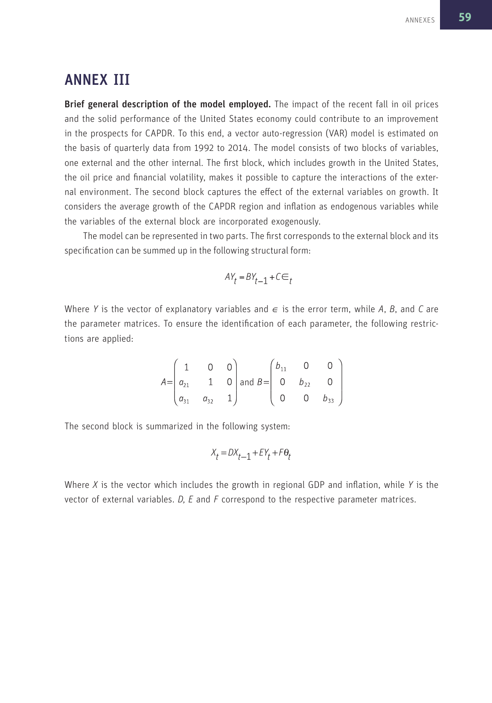## ANNEX III

Brief general description of the model employed. The impact of the recent fall in oil prices and the solid performance of the United States economy could contribute to an improvement in the prospects for CAPDR. To this end, a vector auto-regression (VAR) model is estimated on the basis of quarterly data from 1992 to 2014. The model consists of two blocks of variables, one external and the other internal. The first block, which includes growth in the United States, the oil price and financial volatility, makes it possible to capture the interactions of the external environment. The second block captures the effect of the external variables on growth. It considers the average growth of the CAPDR region and inflation as endogenous variables while the variables of the external block are incorporated exogenously.

The model can be represented in two parts. The first corresponds to the external block and its specification can be summed up in the following structural form:

$$
AY_{t} = BY_{t-1} + C \in
$$

Where *Y* is the vector of explanatory variables and  $\epsilon$  is the error term, while *A*, *B*, and *C* are the parameter matrices. To ensure the identification of each parameter, the following restrictions are applied:

$$
A = \begin{pmatrix} 1 & 0 & 0 \\ a_{21} & 1 & 0 \\ a_{31} & a_{32} & 1 \end{pmatrix} \text{ and } B = \begin{pmatrix} b_{11} & 0 & 0 \\ 0 & b_{22} & 0 \\ 0 & 0 & b_{33} \end{pmatrix}
$$

The second block is summarized in the following system:

$$
X_t = DX_{t-1} + EY_t + F\Theta_t
$$

Where *X* is the vector which includes the growth in regional GDP and inflation, while *Y* is the vector of external variables. *D, E* and *F* correspond to the respective parameter matrices.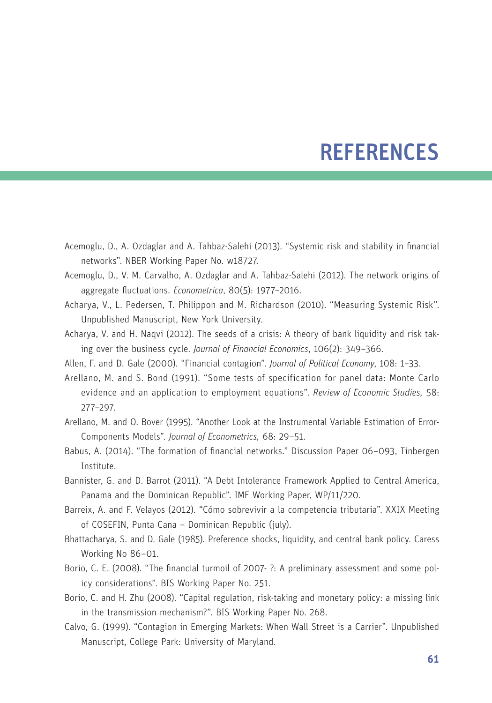## **REFERENCES**

- Acemoglu, D., A. Ozdaglar and A. Tahbaz-Salehi (2013). "Systemic risk and stability in financial networks". NBER Working Paper No. w18727.
- Acemoglu, D., V. M. Carvalho, A. Ozdaglar and A. Tahbaz-Salehi (2012). The network origins of aggregate fluctuations. *Econometrica*, 80(5): 1977–2016.
- Acharya, V., L. Pedersen, T. Philippon and M. Richardson (2010). "Measuring Systemic Risk". Unpublished Manuscript, New York University.
- Acharya, V. and H. Naqvi (2012). The seeds of a crisis: A theory of bank liquidity and risk taking over the business cycle. *Journal of Financial Economics*, 106(2): 349–366.
- Allen, F. and D. Gale (2000). "Financial contagion". *Journal of Political Economy*, 108: 1–33.
- Arellano, M. and S. Bond (1991). "Some tests of specification for panel data: Monte Carlo evidence and an application to employment equations". *Review of Economic Studies,* 58: 277–297.
- Arellano, M. and O. Bover (1995). "Another Look at the Instrumental Variable Estimation of Error-Components Models". *Journal of Econometrics,* 68: 29–51.
- Babus, A. (2014). "The formation of financial networks." Discussion Paper 06–093, Tinbergen Institute.
- Bannister, G. and D. Barrot (2011). "A Debt Intolerance Framework Applied to Central America, Panama and the Dominican Republic". IMF Working Paper, WP/11/220.
- Barreix, A. and F. Velayos (2012). "Cómo sobrevivir a la competencia tributaria". XXIX Meeting of COSEFIN, Punta Cana – Dominican Republic (july).
- Bhattacharya, S. and D. Gale (1985). Preference shocks, liquidity, and central bank policy. Caress Working No 86–01.
- Borio, C. E. (2008). "The financial turmoil of 2007- ?: A preliminary assessment and some policy considerations". BIS Working Paper No. 251.
- Borio, C. and H. Zhu (2008). "Capital regulation, risk-taking and monetary policy: a missing link in the transmission mechanism?". BIS Working Paper No. 268.
- Calvo, G. (1999). "Contagion in Emerging Markets: When Wall Street is a Carrier". Unpublished Manuscript, College Park: University of Maryland.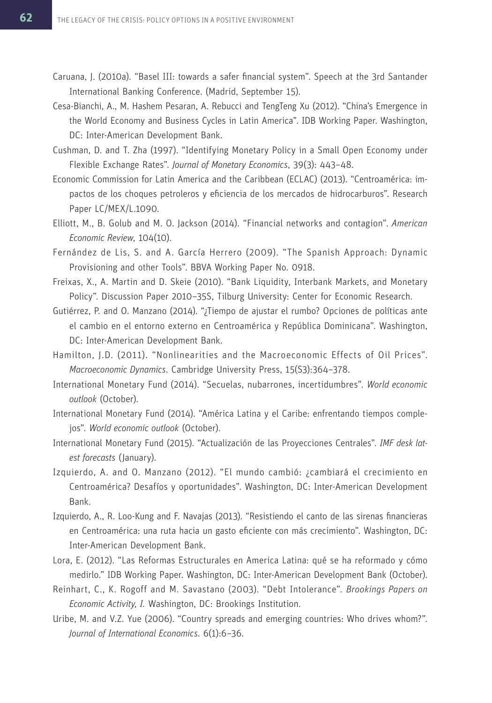- Caruana, J. (2010a). "Basel III: towards a safer financial system". Speech at the 3rd Santander International Banking Conference. (Madrid, September 15).
- Cesa-Bianchi, A., M. Hashem Pesaran, A. Rebucci and TengTeng Xu (2012). "China's Emergence in the World Economy and Business Cycles in Latin America". IDB Working Paper. Washington, DC: Inter-American Development Bank.
- Cushman, D. and T. Zha (1997). "Identifying Monetary Policy in a Small Open Economy under Flexible Exchange Rates". *Journal of Monetary Economics*, 39(3): 443–48.
- Economic Commission for Latin America and the Caribbean (ECLAC) (2013). "Centroamérica: impactos de los choques petroleros y eficiencia de los mercados de hidrocarburos". Research Paper LC/MEX/L.1090.
- Elliott, M., B. Golub and M. O. Jackson (2014). "Financial networks and contagion". *American Economic Review*, 104(10).
- Fernández de Lis, S. and A. García Herrero (2009). "The Spanish Approach: Dynamic Provisioning and other Tools". BBVA Working Paper No. 0918.
- Freixas, X., A. Martin and D. Skeie (2010). "Bank Liquidity, Interbank Markets, and Monetary Policy". Discussion Paper 2010–35S, Tilburg University: Center for Economic Research.
- Gutiérrez, P. and O. Manzano (2014). "¿Tiempo de ajustar el rumbo? Opciones de políticas ante el cambio en el entorno externo en Centroamérica y República Dominicana". Washington, DC: Inter-American Development Bank.
- Hamilton, J.D. (2011). "Nonlinearities and the Macroeconomic Effects of Oil Prices". *Macroeconomic Dynamics*. Cambridge University Press, 15(S3):364–378.
- International Monetary Fund (2014). "Secuelas, nubarrones, incertidumbres". *World economic outlook* (October).
- International Monetary Fund (2014). "América Latina y el Caribe: enfrentando tiempos complejos". *World economic outlook* (October).
- International Monetary Fund (2015). "Actualización de las Proyecciones Centrales". *IMF desk latest forecasts* (January).
- Izquierdo, A. and O. Manzano (2012). "El mundo cambió: ¿cambiará el crecimiento en Centroamérica? Desafíos y oportunidades". Washington, DC: Inter-American Development Bank.
- Izquierdo, A., R. Loo-Kung and F. Navajas (2013). "Resistiendo el canto de las sirenas financieras en Centroamérica: una ruta hacia un gasto eficiente con más crecimiento". Washington, DC: Inter-American Development Bank.
- Lora, E. (2012). "Las Reformas Estructurales en America Latina: qué se ha reformado y cómo medirlo." IDB Working Paper. Washington, DC: Inter-American Development Bank (October).
- Reinhart, C., K. Rogoff and M. Savastano (2003). "Debt Intolerance". *Brookings Papers on Economic Activity, I.* Washington, DC: Brookings Institution.
- Uribe, M. and V.Z. Yue (2006). "Country spreads and emerging countries: Who drives whom?". *Journal of International Economics*. 6(1):6–36.